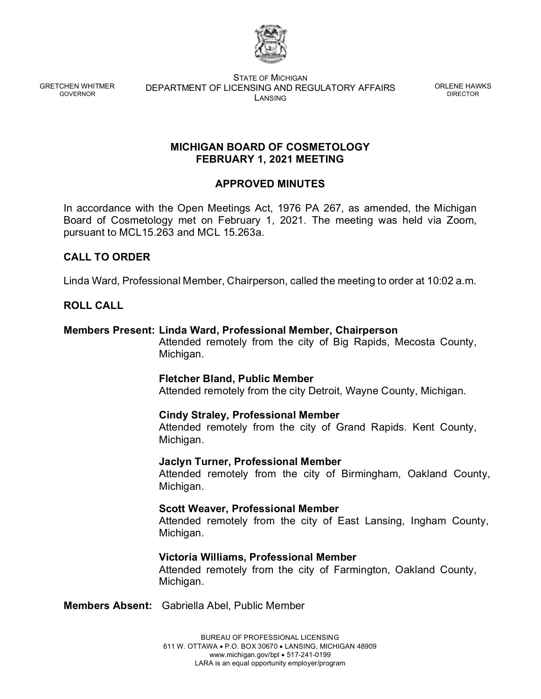

GRETCHEN WHITMER GOVERNOR

STATE OF MICHIGAN DEPARTMENT OF LICENSING AND REGULATORY AFFAIRS LANSING

ORLENE HAWKS DIRECTOR

### **MICHIGAN BOARD OF COSMETOLOGY FEBRUARY 1, 2021 MEETING**

# **APPROVED MINUTES**

In accordance with the Open Meetings Act, 1976 PA 267, as amended, the Michigan Board of Cosmetology met on February 1, 2021. The meeting was held via Zoom, pursuant to MCL15.263 and MCL 15.263a.

# **CALL TO ORDER**

Linda Ward, Professional Member, Chairperson, called the meeting to order at 10:02 a.m.

# **ROLL CALL**

## **Members Present: Linda Ward, Professional Member, Chairperson**

Attended remotely from the city of Big Rapids, Mecosta County, Michigan.

## **Fletcher Bland, Public Member**

Attended remotely from the city Detroit, Wayne County, Michigan.

## **Cindy Straley, Professional Member**

Attended remotely from the city of Grand Rapids. Kent County, Michigan.

## **Jaclyn Turner, Professional Member**

Attended remotely from the city of Birmingham, Oakland County, Michigan.

## **Scott Weaver, Professional Member**

Attended remotely from the city of East Lansing, Ingham County, Michigan.

## **Victoria Williams, Professional Member**

Attended remotely from the city of Farmington, Oakland County, Michigan.

**Members Absent:** Gabriella Abel, Public Member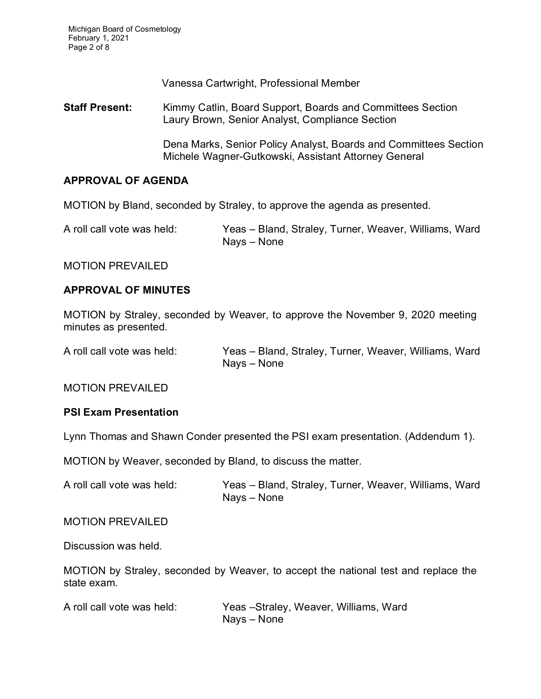Michigan Board of Cosmetology February 1, 2021 Page 2 of 8

Vanessa Cartwright, Professional Member

**Staff Present:** Kimmy Catlin, Board Support, Boards and Committees Section Laury Brown, Senior Analyst, Compliance Section

> Dena Marks, Senior Policy Analyst, Boards and Committees Section Michele Wagner-Gutkowski, Assistant Attorney General

#### **APPROVAL OF AGENDA**

MOTION by Bland, seconded by Straley, to approve the agenda as presented.

A roll call vote was held: Yeas – Bland, Straley, Turner, Weaver, Williams, Ward Nays – None

MOTION PREVAILED

#### **APPROVAL OF MINUTES**

MOTION by Straley, seconded by Weaver, to approve the November 9, 2020 meeting minutes as presented.

A roll call vote was held: Yeas – Bland, Straley, Turner, Weaver, Williams, Ward Nays – None

MOTION PREVAILED

#### **PSI Exam Presentation**

Lynn Thomas and Shawn Conder presented the PSI exam presentation. (Addendum 1).

MOTION by Weaver, seconded by Bland, to discuss the matter.

A roll call vote was held: Yeas – Bland, Straley, Turner, Weaver, Williams, Ward Nays – None

MOTION PREVAILED

Discussion was held.

MOTION by Straley, seconded by Weaver, to accept the national test and replace the state exam.

| A roll call vote was held: | Yeas -Straley, Weaver, Williams, Ward |
|----------------------------|---------------------------------------|
|                            | Nays – None                           |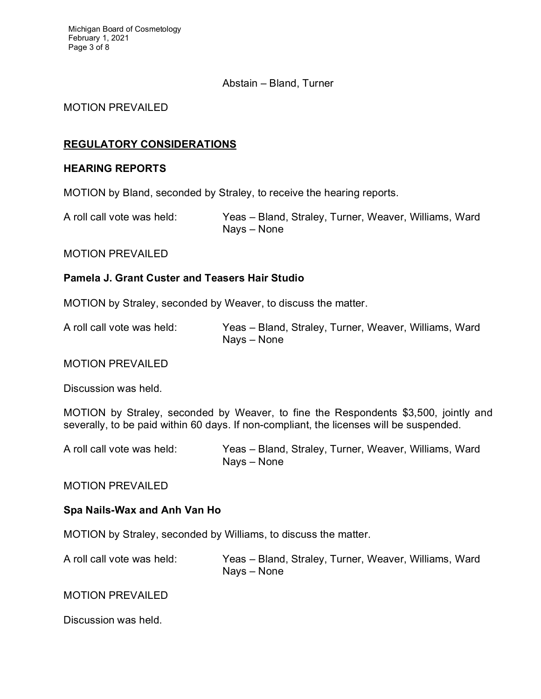### Abstain – Bland, Turner

#### MOTION PREVAILED

### **REGULATORY CONSIDERATIONS**

#### **HEARING REPORTS**

MOTION by Bland, seconded by Straley, to receive the hearing reports.

A roll call vote was held: Yeas – Bland, Straley, Turner, Weaver, Williams, Ward Nays – None

MOTION PREVAILED

#### **Pamela J. Grant Custer and Teasers Hair Studio**

MOTION by Straley, seconded by Weaver, to discuss the matter.

A roll call vote was held: Yeas – Bland, Straley, Turner, Weaver, Williams, Ward Nays – None

#### MOTION PREVAILED

Discussion was held.

MOTION by Straley, seconded by Weaver, to fine the Respondents \$3,500, jointly and severally, to be paid within 60 days. If non-compliant, the licenses will be suspended.

A roll call vote was held: Yeas – Bland, Straley, Turner, Weaver, Williams, Ward Nays – None

MOTION PREVAILED

## **Spa Nails-Wax and Anh Van Ho**

MOTION by Straley, seconded by Williams, to discuss the matter.

A roll call vote was held: Yeas – Bland, Straley, Turner, Weaver, Williams, Ward Nays – None

MOTION PREVAILED

Discussion was held.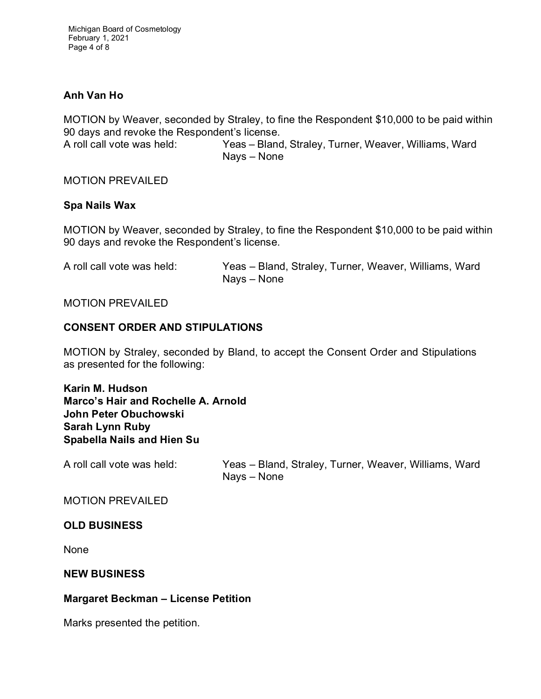Michigan Board of Cosmetology February 1, 2021 Page 4 of 8

## **Anh Van Ho**

MOTION by Weaver, seconded by Straley, to fine the Respondent \$10,000 to be paid within 90 days and revoke the Respondent's license.

A roll call vote was held: Yeas – Bland, Straley, Turner, Weaver, Williams, Ward Nays – None

MOTION PREVAILED

#### **Spa Nails Wax**

MOTION by Weaver, seconded by Straley, to fine the Respondent \$10,000 to be paid within 90 days and revoke the Respondent's license.

A roll call vote was held: Yeas – Bland, Straley, Turner, Weaver, Williams, Ward Nays – None

#### MOTION PREVAILED

## **CONSENT ORDER AND STIPULATIONS**

MOTION by Straley, seconded by Bland, to accept the Consent Order and Stipulations as presented for the following:

**Karin M. Hudson Marco's Hair and Rochelle A. Arnold John Peter Obuchowski Sarah Lynn Ruby Spabella Nails and Hien Su**

A roll call vote was held: Yeas – Bland, Straley, Turner, Weaver, Williams, Ward Nays – None

MOTION PREVAILED

#### **OLD BUSINESS**

None

#### **NEW BUSINESS**

## **Margaret Beckman – License Petition**

Marks presented the petition.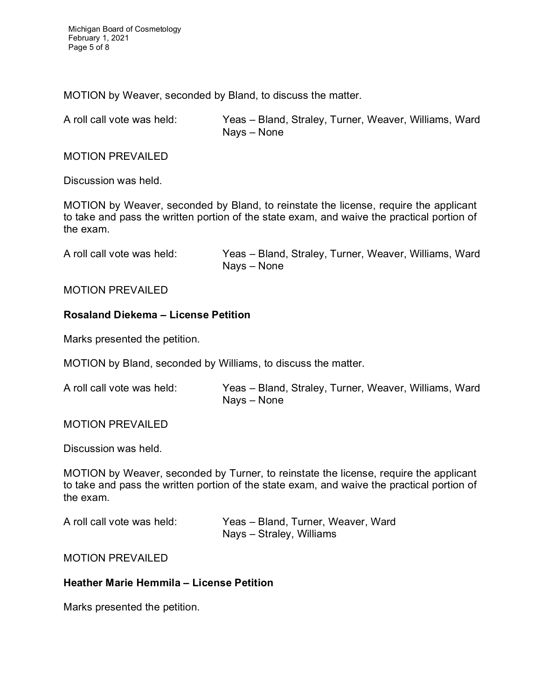MOTION by Weaver, seconded by Bland, to discuss the matter.

A roll call vote was held: Yeas – Bland, Straley, Turner, Weaver, Williams, Ward Nays – None

MOTION PREVAILED

Discussion was held.

MOTION by Weaver, seconded by Bland, to reinstate the license, require the applicant to take and pass the written portion of the state exam, and waive the practical portion of the exam.

A roll call vote was held: Yeas – Bland, Straley, Turner, Weaver, Williams, Ward Nays – None

#### MOTION PREVAILED

## **Rosaland Diekema – License Petition**

Marks presented the petition.

MOTION by Bland, seconded by Williams, to discuss the matter.

| A roll call vote was held: | Yeas - Bland, Straley, Turner, Weaver, Williams, Ward |
|----------------------------|-------------------------------------------------------|
|                            | Nays – None                                           |

#### MOTION PREVAILED

Discussion was held.

MOTION by Weaver, seconded by Turner, to reinstate the license, require the applicant to take and pass the written portion of the state exam, and waive the practical portion of the exam.

| A roll call vote was held: | Yeas - Bland, Turner, Weaver, Ward |
|----------------------------|------------------------------------|
|                            | Nays – Straley, Williams           |

MOTION PREVAILED

# **Heather Marie Hemmila – License Petition**

Marks presented the petition.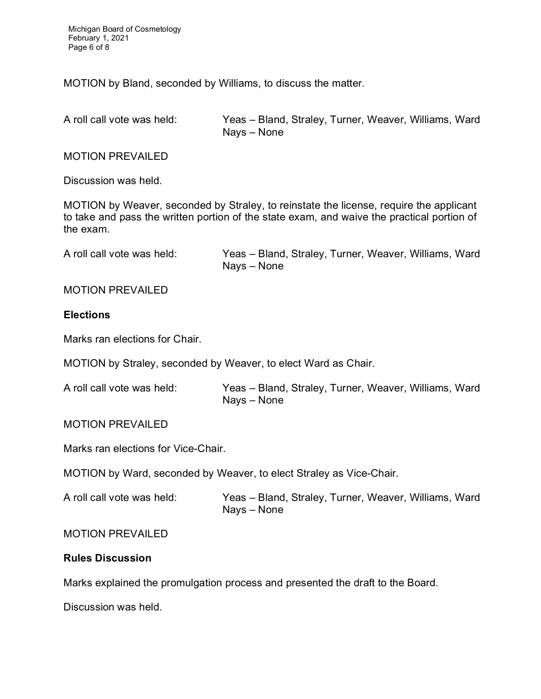Michigan Board of Cosmetology February 1, 2021 Page 6 of 8

MOTION by Bland, seconded by Williams, to discuss the matter.

A roll call vote was held: Yeas – Bland, Straley, Turner, Weaver, Williams, Ward Nays – None

MOTION PREVAILED

Discussion was held.

MOTION by Weaver, seconded by Straley, to reinstate the license, require the applicant to take and pass the written portion of the state exam, and waive the practical portion of the exam.

A roll call vote was held: Yeas – Bland, Straley, Turner, Weaver, Williams, Ward Nays – None

#### MOTION PREVAILED

#### **Elections**

Marks ran elections for Chair.

MOTION by Straley, seconded by Weaver, to elect Ward as Chair.

| A roll call vote was held: | Yeas - Bland, Straley, Turner, Weaver, Williams, Ward |
|----------------------------|-------------------------------------------------------|
|                            | Nays – None                                           |

#### MOTION PREVAILED

Marks ran elections for Vice-Chair.

MOTION by Ward, seconded by Weaver, to elect Straley as Vice-Chair.

A roll call vote was held: Yeas – Bland, Straley, Turner, Weaver, Williams, Ward Nays – None

#### MOTION PREVAILED

#### **Rules Discussion**

Marks explained the promulgation process and presented the draft to the Board.

Discussion was held.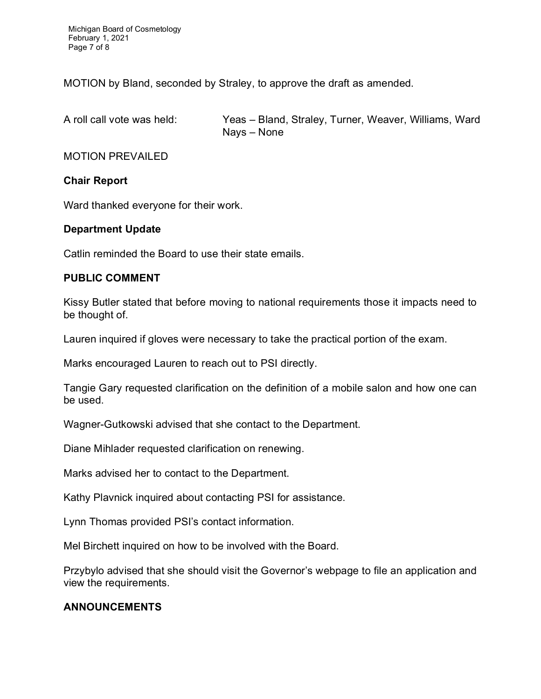Michigan Board of Cosmetology February 1, 2021 Page 7 of 8

MOTION by Bland, seconded by Straley, to approve the draft as amended.

A roll call vote was held: Yeas – Bland, Straley, Turner, Weaver, Williams, Ward Nays – None

MOTION PREVAILED

### **Chair Report**

Ward thanked everyone for their work.

#### **Department Update**

Catlin reminded the Board to use their state emails.

#### **PUBLIC COMMENT**

Kissy Butler stated that before moving to national requirements those it impacts need to be thought of.

Lauren inquired if gloves were necessary to take the practical portion of the exam.

Marks encouraged Lauren to reach out to PSI directly.

Tangie Gary requested clarification on the definition of a mobile salon and how one can be used.

Wagner-Gutkowski advised that she contact to the Department.

Diane Mihlader requested clarification on renewing.

Marks advised her to contact to the Department.

Kathy Plavnick inquired about contacting PSI for assistance.

Lynn Thomas provided PSI's contact information.

Mel Birchett inquired on how to be involved with the Board.

Przybylo advised that she should visit the Governor's webpage to file an application and view the requirements.

## **ANNOUNCEMENTS**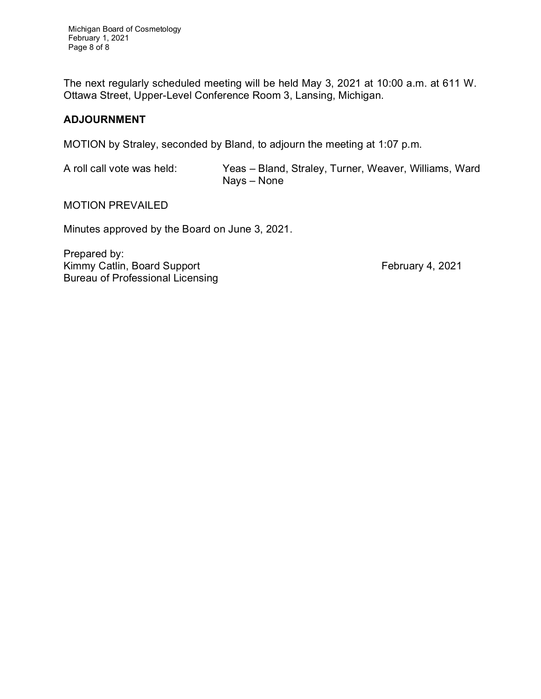Michigan Board of Cosmetology February 1, 2021 Page 8 of 8

The next regularly scheduled meeting will be held May 3, 2021 at 10:00 a.m. at 611 W. Ottawa Street, Upper-Level Conference Room 3, Lansing, Michigan.

### **ADJOURNMENT**

MOTION by Straley, seconded by Bland, to adjourn the meeting at 1:07 p.m.

A roll call vote was held: Yeas – Bland, Straley, Turner, Weaver, Williams, Ward Nays – None

MOTION PREVAILED

Minutes approved by the Board on June 3, 2021.

Prepared by: Kimmy Catlin, Board Support **February 4, 2021** Bureau of Professional Licensing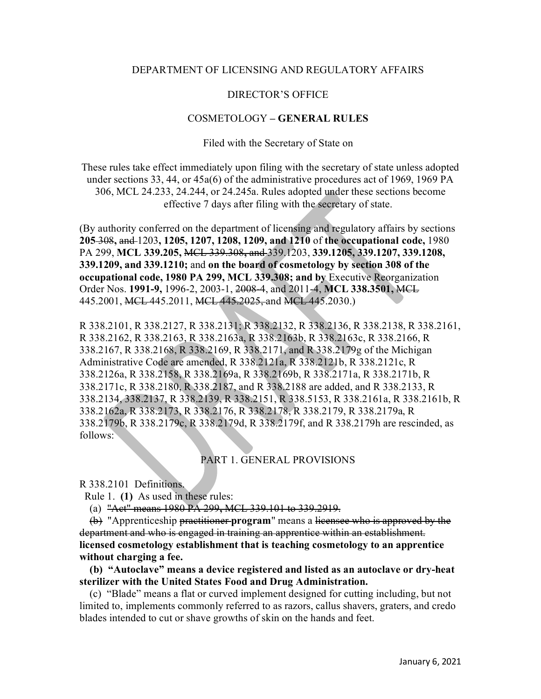#### DEPARTMENT OF LICENSING AND REGULATORY AFFAIRS

#### DIRECTOR'S OFFICE

#### COSMETOLOGY **– GENERAL RULES**

Filed with the Secretary of State on

These rules take effect immediately upon filing with the secretary of state unless adopted under sections 33, 44, or 45a(6) of the administrative procedures act of 1969, 1969 PA 306, MCL 24.233, 24.244, or 24.245a. Rules adopted under these sections become effective 7 days after filing with the secretary of state.

(By authority conferred on the department of licensing and regulatory affairs by sections **205** 308**,** and 1203**, 1205, 1207, 1208, 1209, and 1210** of **the occupational code,** 1980 PA 299, **MCL 339.205,** MCL 339.308**,** and 339.1203, **339.1205, 339.1207, 339.1208, 339.1209, and 339.1210;** and **on the board of cosmetology by section 308 of the occupational code, 1980 PA 299, MCL 339.308; and by** Executive Reorganization Order Nos. **1991-9,** 1996-2, 2003-1, 2008-4, and 2011-4, **MCL 338.3501,** MCL 445.2001, MCL 445.2011, MCL 445.2025, and MCL 445.2030.)

R 338.2101, R 338.2127, R 338.2131; R 338.2132, R 338.2136, R 338.2138, R 338.2161, R 338.2162, R 338.2163, R 338.2163a, R 338.2163b, R 338.2163c, R 338.2166, R 338.2167, R 338.2168, R 338.2169, R 338.2171, and R 338.2179g of the Michigan Administrative Code are amended, R 338.2121a, R 338.2121b, R 338.2121c, R 338.2126a, R 338.2158, R 338.2169a, R 338.2169b, R 338.2171a, R 338.2171b, R 338.2171c, R 338.2180, R 338.2187, and R 338.2188 are added, and R 338.2133, R 338.2134, 338.2137, R 338.2139, R 338.2151, R 338.5153, R 338.2161a, R 338.2161b, R 338.2162a, R 338.2173, R 338.2176, R 338.2178, R 338.2179, R 338.2179a, R 338.2179b, R 338.2179c, R 338.2179d, R 338.2179f, and R 338.2179h are rescinded, as follows:

#### PART 1. GENERAL PROVISIONS

R 338.2101 Definitions.

Rule 1. **(1)** As used in these rules:

(a) "Act" means 1980 PA 299**,** MCL 339.101 to 339.2919.

 (b) "Apprenticeship practitioner **program**" means a licensee who is approved by the department and who is engaged in training an apprentice within an establishment. **licensed cosmetology establishment that is teaching cosmetology to an apprentice without charging a fee.** 

 **(b) "Autoclave" means a device registered and listed as an autoclave or dry-heat sterilizer with the United States Food and Drug Administration.**

 (c) "Blade" means a flat or curved implement designed for cutting including, but not limited to, implements commonly referred to as razors, callus shavers, graters, and credo blades intended to cut or shave growths of skin on the hands and feet.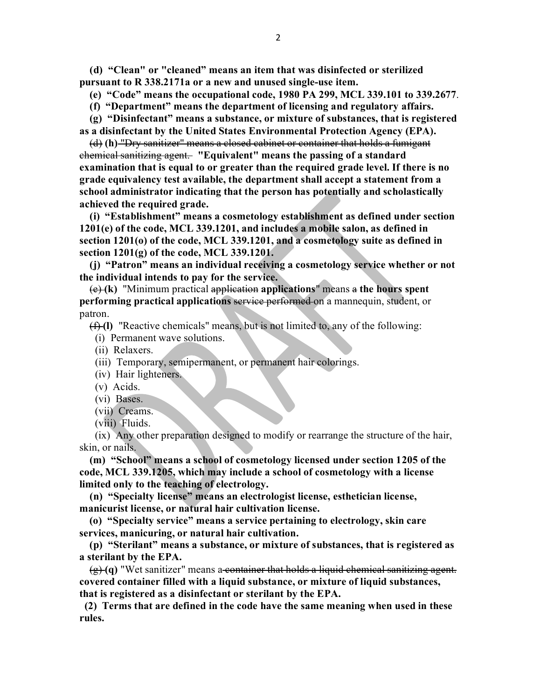**(d) "Clean" or "cleaned" means an item that was disinfected or sterilized pursuant to R 338.2171a or a new and unused single-use item.**

 **(e) "Code" means the occupational code, 1980 PA 299, MCL 339.101 to 339.2677**.

 **(f) "Department" means the department of licensing and regulatory affairs.**

 **(g) "Disinfectant" means a substance, or mixture of substances, that is registered as a disinfectant by the United States Environmental Protection Agency (EPA).**

(d) **(h)** "Dry sanitizer" means a closed cabinet or container that holds a fumigant chemical sanitizing agent. **"Equivalent" means the passing of a standard examination that is equal to or greater than the required grade level. If there is no grade equivalency test available, the department shall accept a statement from a school administrator indicating that the person has potentially and scholastically achieved the required grade.**

 **(i) "Establishment" means a cosmetology establishment as defined under section 1201(e) of the code, MCL 339.1201, and includes a mobile salon, as defined in section 1201(o) of the code, MCL 339.1201, and a cosmetology suite as defined in section 1201(g) of the code, MCL 339.1201.**

 **(j) "Patron" means an individual receiving a cosmetology service whether or not the individual intends to pay for the service.**

 (e) **(k)** "Minimum practical application **applications**" means a **the hours spent performing practical applications** service performed on a mannequin, student, or patron.

(f) **(l)** "Reactive chemicals" means, but is not limited to, any of the following:

(i) Permanent wave solutions.

(ii) Relaxers.

- (iii) Temporary, semipermanent, or permanent hair colorings.
- (iv) Hair lighteners.
- (v) Acids.
- (vi) Bases.
- (vii) Creams.
- (viii) Fluids.

 (ix) Any other preparation designed to modify or rearrange the structure of the hair, skin, or nails.

 **(m) "School" means a school of cosmetology licensed under section 1205 of the code, MCL 339.1205, which may include a school of cosmetology with a license limited only to the teaching of electrology.** 

 **(n) "Specialty license" means an electrologist license, esthetician license, manicurist license, or natural hair cultivation license.**

 **(o) "Specialty service" means a service pertaining to electrology, skin care services, manicuring, or natural hair cultivation.** 

 **(p) "Sterilant" means a substance, or mixture of substances, that is registered as a sterilant by the EPA.** 

 $\left(\frac{\alpha}{2}\right)$  (q) "Wet sanitizer" means a container that holds a liquid chemical sanitizing agent. **covered container filled with a liquid substance, or mixture of liquid substances, that is registered as a disinfectant or sterilant by the EPA.**

 **(2) Terms that are defined in the code have the same meaning when used in these rules.**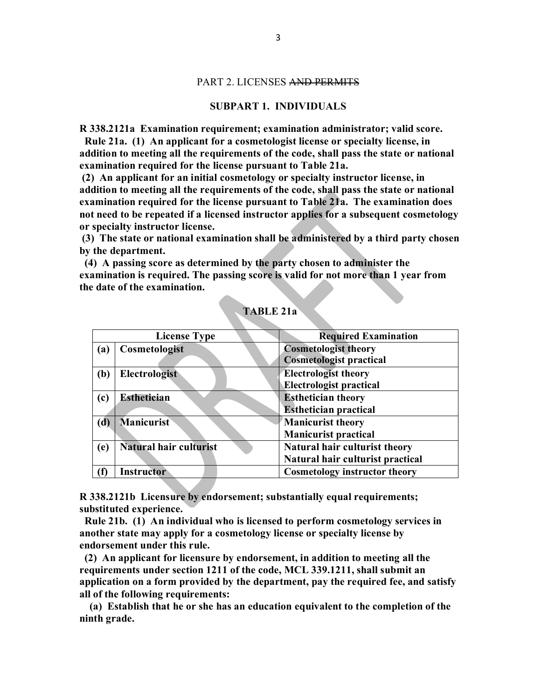#### PART 2. LICENSES AND PERMITS

#### **SUBPART 1. INDIVIDUALS**

**R 338.2121a Examination requirement; examination administrator; valid score.**

 **Rule 21a. (1) An applicant for a cosmetologist license or specialty license, in addition to meeting all the requirements of the code, shall pass the state or national examination required for the license pursuant to Table 21a.**

**(2) An applicant for an initial cosmetology or specialty instructor license, in addition to meeting all the requirements of the code, shall pass the state or national examination required for the license pursuant to Table 21a. The examination does not need to be repeated if a licensed instructor applies for a subsequent cosmetology or specialty instructor license.** 

**(3) The state or national examination shall be administered by a third party chosen by the department.** 

 **(4) A passing score as determined by the party chosen to administer the examination is required. The passing score is valid for not more than 1 year from the date of the examination.**

| <b>License Type</b>           | <b>Required Examination</b>          |
|-------------------------------|--------------------------------------|
| Cosmetologist<br>(a)          | <b>Cosmetologist theory</b>          |
|                               | <b>Cosmetologist practical</b>       |
| <b>Electrologist</b><br>(b)   | <b>Electrologist theory</b>          |
|                               | <b>Electrologist practical</b>       |
| <b>Esthetician</b><br>(c)     | <b>Esthetician theory</b>            |
|                               | <b>Esthetician practical</b>         |
| <b>Manicurist</b><br>(d)      | Manicurist theory                    |
|                               | <b>Manicurist practical</b>          |
| Natural hair culturist<br>(e) | Natural hair culturist theory        |
|                               | Natural hair culturist practical     |
| M<br><b>Instructor</b>        | <b>Cosmetology instructor theory</b> |

## **TABLE 21a**

**R 338.2121b Licensure by endorsement; substantially equal requirements; substituted experience.**

 **Rule 21b. (1) An individual who is licensed to perform cosmetology services in another state may apply for a cosmetology license or specialty license by endorsement under this rule.** 

 **(2) An applicant for licensure by endorsement, in addition to meeting all the requirements under section 1211 of the code, MCL 339.1211, shall submit an application on a form provided by the department, pay the required fee, and satisfy all of the following requirements:** 

 **(a) Establish that he or she has an education equivalent to the completion of the ninth grade.**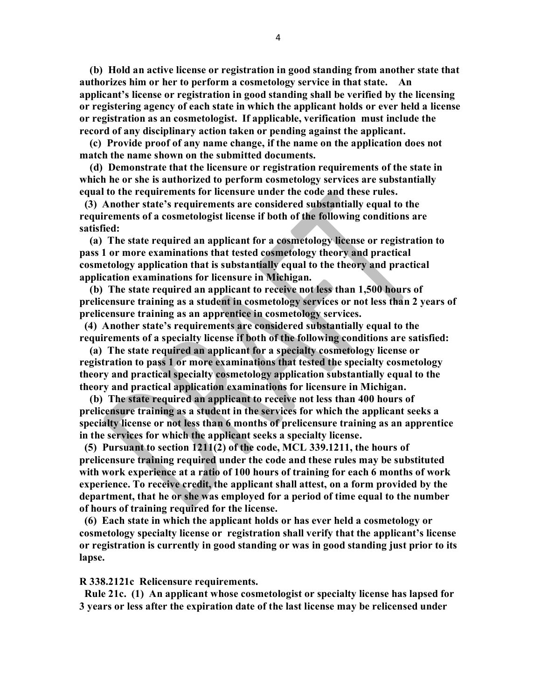**(b) Hold an active license or registration in good standing from another state that authorizes him or her to perform a cosmetology service in that state. An applicant's license or registration in good standing shall be verified by the licensing or registering agency of each state in which the applicant holds or ever held a license or registration as an cosmetologist. If applicable, verification must include the record of any disciplinary action taken or pending against the applicant.**

 **(c) Provide proof of any name change, if the name on the application does not match the name shown on the submitted documents.** 

 **(d) Demonstrate that the licensure or registration requirements of the state in which he or she is authorized to perform cosmetology services are substantially equal to the requirements for licensure under the code and these rules.** 

 **(3) Another state's requirements are considered substantially equal to the requirements of a cosmetologist license if both of the following conditions are satisfied:** 

 **(a) The state required an applicant for a cosmetology license or registration to pass 1 or more examinations that tested cosmetology theory and practical cosmetology application that is substantially equal to the theory and practical application examinations for licensure in Michigan.** 

 **(b) The state required an applicant to receive not less than 1,500 hours of prelicensure training as a student in cosmetology services or not less than 2 years of prelicensure training as an apprentice in cosmetology services.** 

 **(4) Another state's requirements are considered substantially equal to the requirements of a specialty license if both of the following conditions are satisfied:** 

 **(a) The state required an applicant for a specialty cosmetology license or registration to pass 1 or more examinations that tested the specialty cosmetology theory and practical specialty cosmetology application substantially equal to the theory and practical application examinations for licensure in Michigan.** 

 **(b) The state required an applicant to receive not less than 400 hours of prelicensure training as a student in the services for which the applicant seeks a specialty license or not less than 6 months of prelicensure training as an apprentice in the services for which the applicant seeks a specialty license.** 

 **(5) Pursuant to section 1211(2) of the code, MCL 339.1211, the hours of prelicensure training required under the code and these rules may be substituted with work experience at a ratio of 100 hours of training for each 6 months of work experience. To receive credit, the applicant shall attest, on a form provided by the department, that he or she was employed for a period of time equal to the number of hours of training required for the license.** 

 **(6) Each state in which the applicant holds or has ever held a cosmetology or cosmetology specialty license or registration shall verify that the applicant's license or registration is currently in good standing or was in good standing just prior to its lapse.** 

#### **R 338.2121c Relicensure requirements.**

 **Rule 21c. (1) An applicant whose cosmetologist or specialty license has lapsed for 3 years or less after the expiration date of the last license may be relicensed under**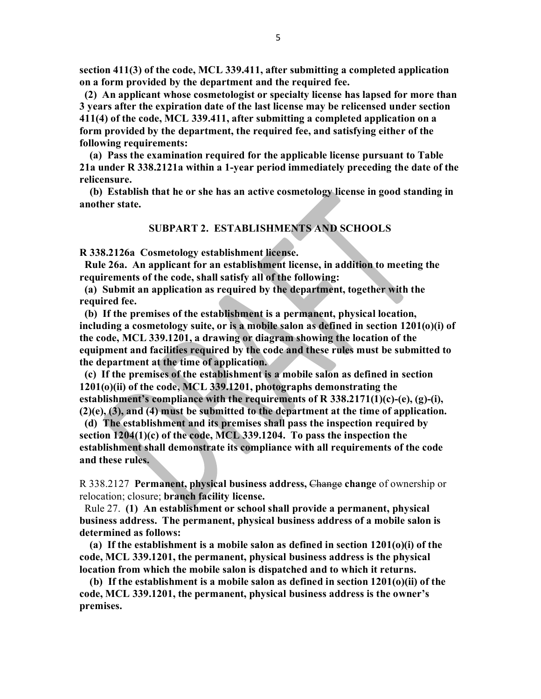**section 411(3) of the code, MCL 339.411, after submitting a completed application on a form provided by the department and the required fee.** 

 **(2) An applicant whose cosmetologist or specialty license has lapsed for more than 3 years after the expiration date of the last license may be relicensed under section 411(4) of the code, MCL 339.411, after submitting a completed application on a form provided by the department, the required fee, and satisfying either of the following requirements:**

 **(a) Pass the examination required for the applicable license pursuant to Table 21a under R 338.2121a within a 1-year period immediately preceding the date of the relicensure.**

 **(b) Establish that he or she has an active cosmetology license in good standing in another state.** 

#### **SUBPART 2. ESTABLISHMENTS AND SCHOOLS**

**R 338.2126a Cosmetology establishment license.**

 **Rule 26a. An applicant for an establishment license, in addition to meeting the requirements of the code, shall satisfy all of the following:**

 **(a) Submit an application as required by the department, together with the required fee.**

 **(b) If the premises of the establishment is a permanent, physical location, including a cosmetology suite, or is a mobile salon as defined in section 1201(o)(i) of the code, MCL 339.1201, a drawing or diagram showing the location of the equipment and facilities required by the code and these rules must be submitted to the department at the time of application.**

 **(c) If the premises of the establishment is a mobile salon as defined in section 1201(o)(ii) of the code, MCL 339.1201, photographs demonstrating the establishment's compliance with the requirements of R 338.2171(1)(c)-(e), (g)-(i), (2)(e), (3), and (4) must be submitted to the department at the time of application.** 

 **(d) The establishment and its premises shall pass the inspection required by section 1204(1)(c) of the code, MCL 339.1204. To pass the inspection the establishment shall demonstrate its compliance with all requirements of the code and these rules.**

R 338.2127 **Permanent, physical business address,** Change **change** of ownership or relocation; closure; **branch facility license.**

 Rule 27. **(1) An establishment or school shall provide a permanent, physical business address. The permanent, physical business address of a mobile salon is determined as follows:**

 **(a) If the establishment is a mobile salon as defined in section 1201(o)(i) of the code, MCL 339.1201, the permanent, physical business address is the physical location from which the mobile salon is dispatched and to which it returns.**

 **(b) If the establishment is a mobile salon as defined in section 1201(o)(ii) of the code, MCL 339.1201, the permanent, physical business address is the owner's premises.**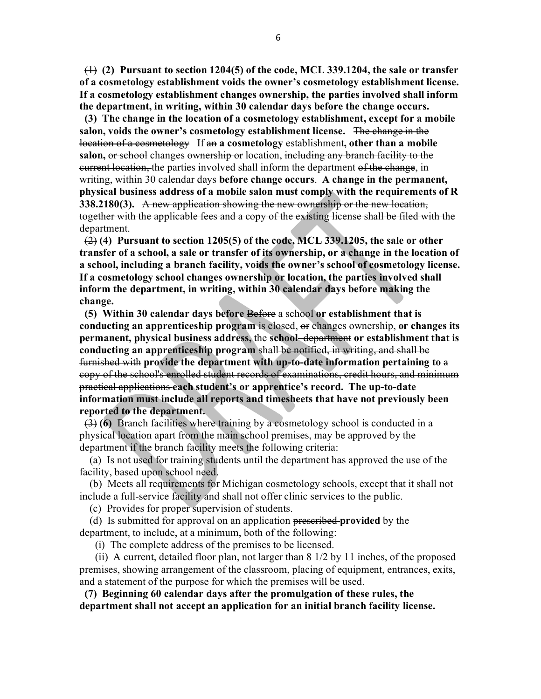(1) **(2) Pursuant to section 1204(5) of the code, MCL 339.1204, the sale or transfer of a cosmetology establishment voids the owner's cosmetology establishment license. If a cosmetology establishment changes ownership, the parties involved shall inform the department, in writing, within 30 calendar days before the change occurs.** 

 **(3) The change in the location of a cosmetology establishment, except for a mobile salon, voids the owner's cosmetology establishment license.** The change in the location of a cosmetology If an **a cosmetology** establishment**, other than a mobile**  salon, or school changes ownership or location, including any branch facility to the eurrent location, the parties involved shall inform the department of the change, in writing, within 30 calendar days **before change occurs**. **A change in the permanent, physical business address of a mobile salon must comply with the requirements of R 338.2180(3).** A new application showing the new ownership or the new location, together with the applicable fees and a copy of the existing license shall be filed with the department.

 (2) **(4) Pursuant to section 1205(5) of the code, MCL 339.1205, the sale or other transfer of a school, a sale or transfer of its ownership, or a change in the location of a school, including a branch facility, voids the owner's school of cosmetology license. If a cosmetology school changes ownership or location, the parties involved shall inform the department, in writing, within 30 calendar days before making the change.**

 **(5) Within 30 calendar days before** Before a school **or establishment that is conducting an apprenticeship program** is closed, or changes ownership, **or changes its permanent, physical business address,** the **school** department **or establishment that is conducting an apprenticeship program** shall be notified, in writing, and shall be furnished with **provide the department with up-to-date information pertaining to** a copy of the school's enrolled student records of examinations, credit hours, and minimum practical applications **each student's or apprentice's record. The up-to-date information must include all reports and timesheets that have not previously been reported to the department.** 

 (3) **(6)** Branch facilities where training by a cosmetology school is conducted in a physical location apart from the main school premises, may be approved by the department if the branch facility meets the following criteria:

(a) Is not used for training students until the department has approved the use of the facility, based upon school need.

 (b) Meets all requirements for Michigan cosmetology schools, except that it shall not include a full-service facility and shall not offer clinic services to the public.

(c) Provides for proper supervision of students.

 (d) Is submitted for approval on an application prescribed **provided** by the department, to include, at a minimum, both of the following:

(i) The complete address of the premises to be licensed.

 (ii) A current, detailed floor plan, not larger than 8 1/2 by 11 inches, of the proposed premises, showing arrangement of the classroom, placing of equipment, entrances, exits, and a statement of the purpose for which the premises will be used.

 **(7) Beginning 60 calendar days after the promulgation of these rules, the department shall not accept an application for an initial branch facility license.**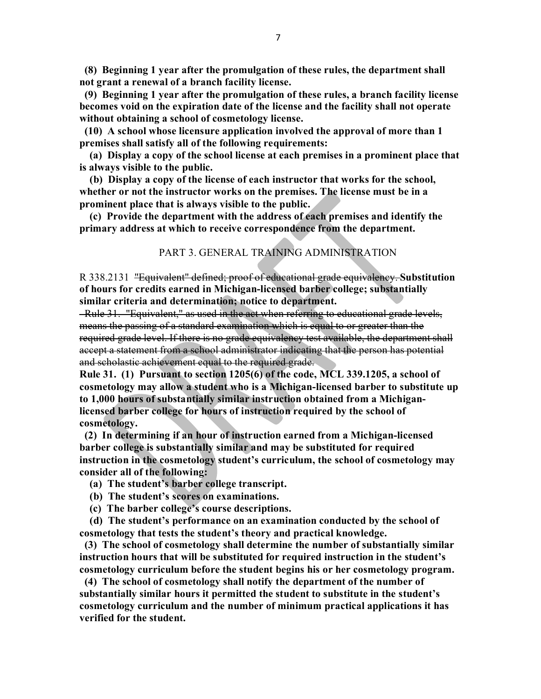**(8) Beginning 1 year after the promulgation of these rules, the department shall not grant a renewal of a branch facility license.** 

 **(9) Beginning 1 year after the promulgation of these rules, a branch facility license becomes void on the expiration date of the license and the facility shall not operate without obtaining a school of cosmetology license.**

 **(10) A school whose licensure application involved the approval of more than 1 premises shall satisfy all of the following requirements:**

 **(a) Display a copy of the school license at each premises in a prominent place that is always visible to the public.** 

 **(b) Display a copy of the license of each instructor that works for the school, whether or not the instructor works on the premises. The license must be in a prominent place that is always visible to the public.** 

 **(c) Provide the department with the address of each premises and identify the primary address at which to receive correspondence from the department.** 

#### PART 3. GENERAL TRAINING ADMINISTRATION

R 338.2131 "Equivalent" defined; proof of educational grade equivalency. **Substitution of hours for credits earned in Michigan-licensed barber college; substantially similar criteria and determination; notice to department.**

 Rule 31. "Equivalent," as used in the act when referring to educational grade levels, means the passing of a standard examination which is equal to or greater than the required grade level. If there is no grade equivalency test available, the department shall accept a statement from a school administrator indicating that the person has potential and scholastic achievement equal to the required grade.

**Rule 31. (1) Pursuant to section 1205(6) of the code, MCL 339.1205, a school of cosmetology may allow a student who is a Michigan-licensed barber to substitute up to 1,000 hours of substantially similar instruction obtained from a Michiganlicensed barber college for hours of instruction required by the school of cosmetology.**

**(2) In determining if an hour of instruction earned from a Michigan-licensed barber college is substantially similar and may be substituted for required instruction in the cosmetology student's curriculum, the school of cosmetology may consider all of the following:**

 **(a) The student's barber college transcript.**

- **(b) The student's scores on examinations.**
- **(c) The barber college's course descriptions.**

 **(d) The student's performance on an examination conducted by the school of cosmetology that tests the student's theory and practical knowledge.** 

 **(3) The school of cosmetology shall determine the number of substantially similar instruction hours that will be substituted for required instruction in the student's cosmetology curriculum before the student begins his or her cosmetology program.**

 **(4) The school of cosmetology shall notify the department of the number of substantially similar hours it permitted the student to substitute in the student's cosmetology curriculum and the number of minimum practical applications it has verified for the student.**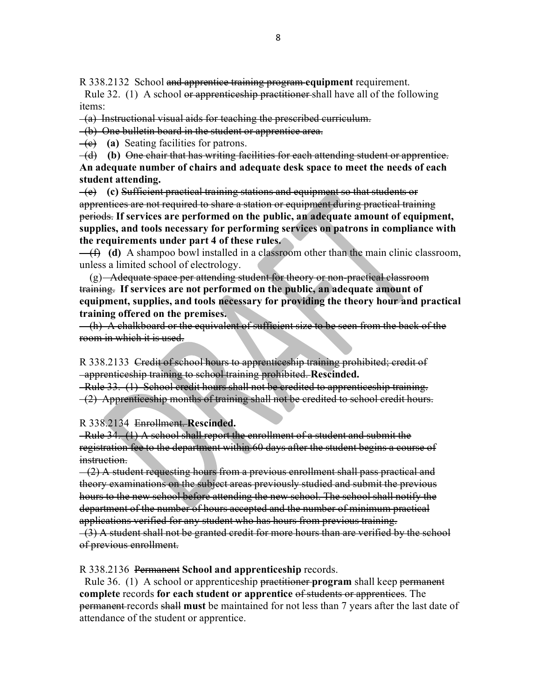R 338.2132 School and apprentice training program **equipment** requirement.

Rule 32. (1) A school or apprentices hip practitioner shall have all of the following items:

(a) Instructional visual aids for teaching the prescribed curriculum.

(b) One bulletin board in the student or apprentice area.

(c) **(a)** Seating facilities for patrons.

 (d) **(b)** One chair that has writing facilities for each attending student or apprentice. **An adequate number of chairs and adequate desk space to meet the needs of each student attending.**

 (e) **(c)** Sufficient practical training stations and equipment so that students or apprentices are not required to share a station or equipment during practical training periods. **If services are performed on the public, an adequate amount of equipment, supplies, and tools necessary for performing services on patrons in compliance with the requirements under part 4 of these rules.** 

 $-(\hat{H})$  (d) A shampoo bowl installed in a classroom other than the main clinic classroom, unless a limited school of electrology.

 $(g)$  Adequate space per attending student for theory or non-practical classroom training. **If services are not performed on the public, an adequate amount of equipment, supplies, and tools necessary for providing the theory hour and practical training offered on the premises.** 

(h) A chalkboard or the equivalent of sufficient size to be seen from the back of the room in which it is used.

R 338.2133 Credit of school hours to apprenticeship training prohibited; credit of apprenticeship training to school training prohibited. **Rescinded.**

Rule 33. (1) School credit hours shall not be credited to apprenticeship training.

(2) Apprenticeship months of training shall not be credited to school credit hours.

R 338.2134Enrollment. **Rescinded.** 

 Rule 34. (1) A school shall report the enrollment of a student and submit the registration fee to the department within 60 days after the student begins a course of instruction.

 $-(2)$  A student requesting hours from a previous enrollment shall pass practical and theory examinations on the subject areas previously studied and submit the previous hours to the new school before attending the new school. The school shall notify the department of the number of hours accepted and the number of minimum practical applications verified for any student who has hours from previous training.

 $(3)$  A student shall not be granted credit for more hours than are verified by the school of previous enrollment.

R 338.2136 Permanent **School and apprenticeship** records.

 Rule 36. (1) A school or apprenticeship practitioner **program** shall keep permanent **complete** records **for each student or apprentice** of students or apprentices. The permanent records shall **must** be maintained for not less than 7 years after the last date of attendance of the student or apprentice.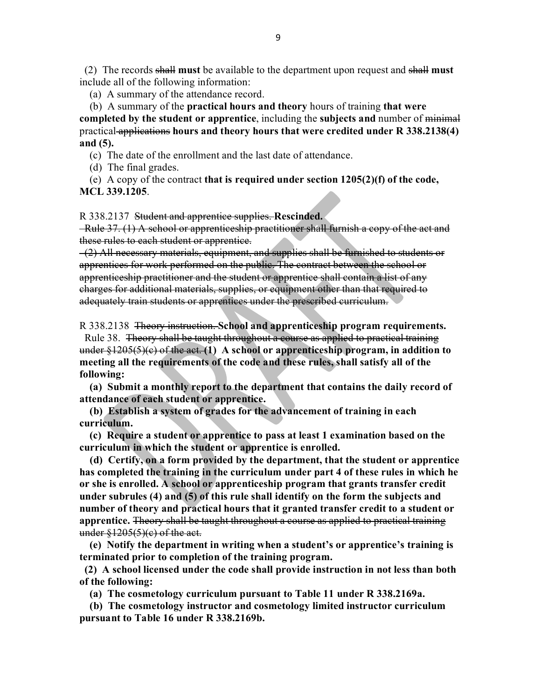(2) The records shall **must** be available to the department upon request and shall **must** include all of the following information:

(a) A summary of the attendance record.

(b) A summary of the **practical hours and theory** hours of training **that were**

**completed by the student or apprentice**, including the **subjects and** number of minimal practical applications **hours and theory hours that were credited under R 338.2138(4) and (5).** 

(c) The date of the enrollment and the last date of attendance.

(d) The final grades.

 (e) A copy of the contract **that is required under section 1205(2)(f) of the code, MCL 339.1205**.

R 338.2137 Student and apprentice supplies. **Rescinded.**

 Rule 37. (1) A school or apprenticeship practitioner shall furnish a copy of the act and these rules to each student or apprentice.

 (2) All necessary materials, equipment, and supplies shall be furnished to students or apprentices for work performed on the public. The contract between the school or apprenticeship practitioner and the student or apprentice shall contain a list of any charges for additional materials, supplies, or equipment other than that required to adequately train students or apprentices under the prescribed curriculum.

R 338.2138 Theory instruction. **School and apprenticeship program requirements.**

Rule 38. Theory shall be taught throughout a course as applied to practical training under §1205(5)(c) of the act. **(1) A school or apprenticeship program, in addition to meeting all the requirements of the code and these rules, shall satisfy all of the following:**

 **(a) Submit a monthly report to the department that contains the daily record of attendance of each student or apprentice.**

 **(b) Establish a system of grades for the advancement of training in each curriculum.** 

 **(c) Require a student or apprentice to pass at least 1 examination based on the curriculum in which the student or apprentice is enrolled.** 

 **(d) Certify, on a form provided by the department, that the student or apprentice has completed the training in the curriculum under part 4 of these rules in which he or she is enrolled. A school or apprenticeship program that grants transfer credit under subrules (4) and (5) of this rule shall identify on the form the subjects and number of theory and practical hours that it granted transfer credit to a student or apprentice.** Theory shall be taught throughout a course as applied to practical training under  $$1205(5)(e)$  of the act.

 **(e) Notify the department in writing when a student's or apprentice's training is terminated prior to completion of the training program.**

**(2) A school licensed under the code shall provide instruction in not less than both of the following:**

 **(a) The cosmetology curriculum pursuant to Table 11 under R 338.2169a.** 

 **(b) The cosmetology instructor and cosmetology limited instructor curriculum pursuant to Table 16 under R 338.2169b.**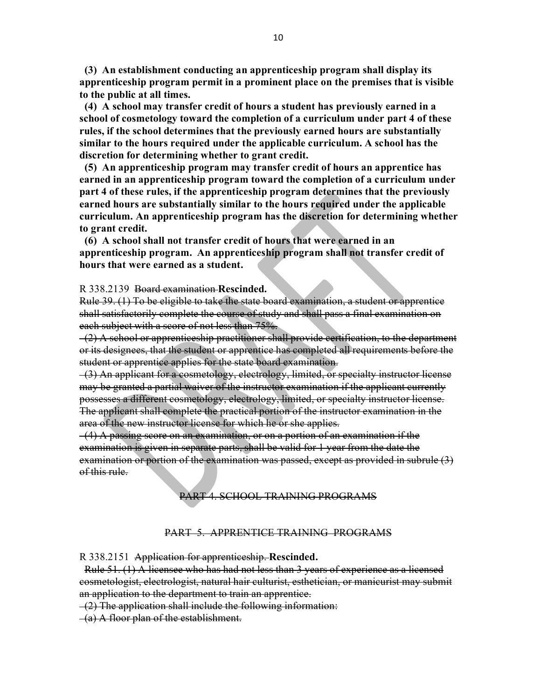**(3) An establishment conducting an apprenticeship program shall display its apprenticeship program permit in a prominent place on the premises that is visible to the public at all times.** 

 **(4) A school may transfer credit of hours a student has previously earned in a school of cosmetology toward the completion of a curriculum under part 4 of these rules, if the school determines that the previously earned hours are substantially similar to the hours required under the applicable curriculum. A school has the discretion for determining whether to grant credit.**

 **(5) An apprenticeship program may transfer credit of hours an apprentice has earned in an apprenticeship program toward the completion of a curriculum under part 4 of these rules, if the apprenticeship program determines that the previously earned hours are substantially similar to the hours required under the applicable curriculum. An apprenticeship program has the discretion for determining whether to grant credit.** 

 **(6) A school shall not transfer credit of hours that were earned in an apprenticeship program. An apprenticeship program shall not transfer credit of hours that were earned as a student.** 

R 338.2139 Board examination **Rescinded.**

Rule 39. (1) To be eligible to take the state board examination, a student or apprentice shall satisfactorily complete the course of study and shall pass a final examination on each subject with a score of not less than 75%.

 $(2)$  A school or apprenticeship practitioner shall provide certification, to the department or its designees, that the student or apprentice has completed all requirements before the student or apprentice applies for the state board examination.

 (3) An applicant for a cosmetology, electrology, limited, or specialty instructor license may be granted a partial waiver of the instructor examination if the applicant currently possesses a different cosmetology, electrology, limited, or specialty instructor license. The applicant shall complete the practical portion of the instructor examination in the area of the new instructor license for which he or she applies.

 (4) A passing score on an examination, or on a portion of an examination if the examination is given in separate parts, shall be valid for 1 year from the date the examination or portion of the examination was passed, except as provided in subrule (3) of this rule.

PART 4. SCHOOL TRAINING PROGRAMS

#### PART 5.APPRENTICE TRAININGPROGRAMS

R 338.2151 Application for apprenticeship. **Rescinded.**

 Rule 51. (1) A licensee who has had not less than 3 years of experience as a licensed cosmetologist, electrologist, natural hair culturist, esthetician, or manicurist may submit an application to the department to train an apprentice.

(2) The application shall include the following information:

(a) A floor plan of the establishment.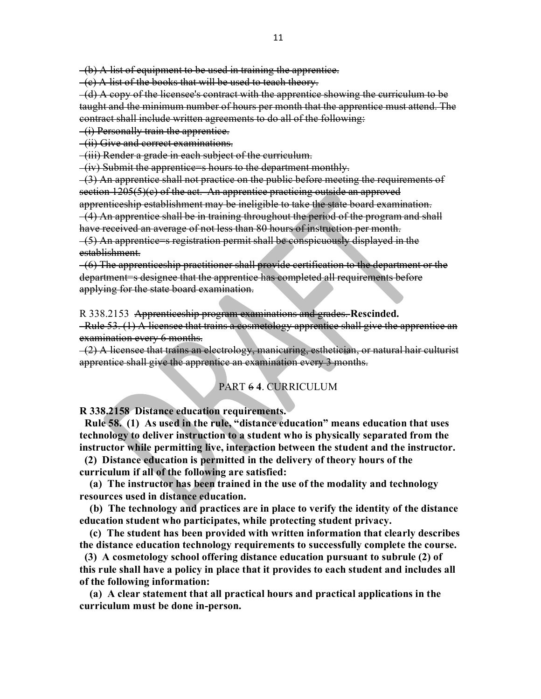(b) A list of equipment to be used in training the apprentice.

(c) A list of the books that will be used to teach theory.

 $-(d)$  A copy of the licensee's contract with the apprentice showing the curriculum to be taught and the minimum number of hours per month that the apprentice must attend. The contract shall include written agreements to do all of the following:

(i) Personally train the apprentice.

(ii) Give and correct examinations.

(iii) Render a grade in each subject of the curriculum.

(iv) Submit the apprentice=s hours to the department monthly.

 (3) An apprentice shall not practice on the public before meeting the requirements of section 1205(5)(c) of the act. An apprentice practicing outside an approved

apprenticeship establishment may be ineligible to take the state board examination. (4) An apprentice shall be in training throughout the period of the program and shall

have received an average of not less than 80 hours of instruction per month.

 (5) An apprentice=s registration permit shall be conspicuously displayed in the establishment.

 (6) The apprenticeship practitioner shall provide certification to the department or the department=s designee that the apprentice has completed all requirements before applying for the state board examination.

R 338.2153 Apprenticeship program examinations and grades. **Rescinded.**

 Rule 53. (1) A licensee that trains a cosmetology apprentice shall give the apprentice an examination every 6 months.

 $(2)$  A licensee that trains an electrology, manicuring, esthetician, or natural hair culturist apprentice shall give the apprentice an examination every 3 months.

#### PART 6 **4**. CURRICULUM

**R 338.2158 Distance education requirements.**

 **Rule 58. (1) As used in the rule, "distance education" means education that uses technology to deliver instruction to a student who is physically separated from the instructor while permitting live, interaction between the student and the instructor.**

 **(2) Distance education is permitted in the delivery of theory hours of the curriculum if all of the following are satisfied:**

 **(a) The instructor has been trained in the use of the modality and technology resources used in distance education.**

 **(b) The technology and practices are in place to verify the identity of the distance education student who participates, while protecting student privacy.**

 **(c) The student has been provided with written information that clearly describes the distance education technology requirements to successfully complete the course.**

 **(3) A cosmetology school offering distance education pursuant to subrule (2) of this rule shall have a policy in place that it provides to each student and includes all of the following information:**

 **(a) A clear statement that all practical hours and practical applications in the curriculum must be done in-person.**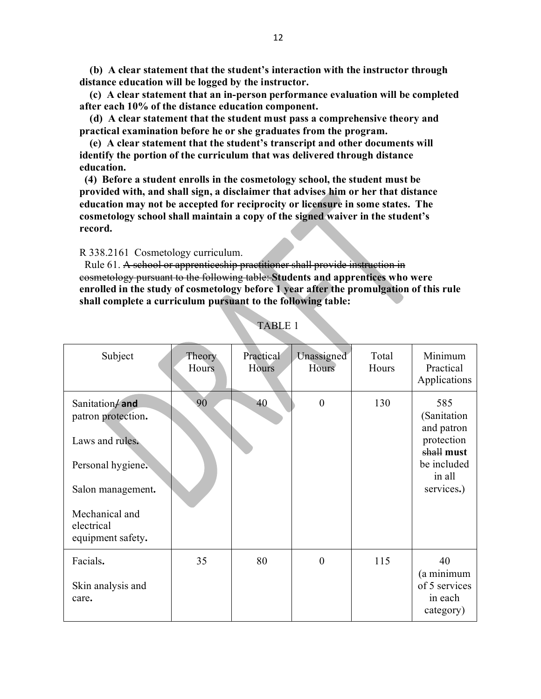**(b) A clear statement that the student's interaction with the instructor through distance education will be logged by the instructor.**

 **(c) A clear statement that an in-person performance evaluation will be completed after each 10% of the distance education component.**

 **(d) A clear statement that the student must pass a comprehensive theory and practical examination before he or she graduates from the program.**

 **(e) A clear statement that the student's transcript and other documents will identify the portion of the curriculum that was delivered through distance education.**

 **(4) Before a student enrolls in the cosmetology school, the student must be provided with, and shall sign, a disclaimer that advises him or her that distance education may not be accepted for reciprocity or licensure in some states. The cosmetology school shall maintain a copy of the signed waiver in the student's record.**

R 338.2161 Cosmetology curriculum.

 Rule 61. A school or apprenticeship practitioner shall provide instruction in cosmetology pursuant to the following table: **Students and apprentices who were enrolled in the study of cosmetology before 1 year after the promulgation of this rule shall complete a curriculum pursuant to the following table:** 

| Subject                                                                                                                                                | Theory<br>Hours | Practical<br>Hours | Unassigned<br>Hours | Total<br>Hours | Minimum<br>Practical<br>Applications                                                                |
|--------------------------------------------------------------------------------------------------------------------------------------------------------|-----------------|--------------------|---------------------|----------------|-----------------------------------------------------------------------------------------------------|
| Sanitation/and<br>patron protection.<br>Laws and rules.<br>Personal hygiene.<br>Salon management.<br>Mechanical and<br>electrical<br>equipment safety. | 90              | 40                 | $\boldsymbol{0}$    | 130            | 585<br>(Sanitation<br>and patron<br>protection<br>shall must<br>be included<br>in all<br>services.) |
| Facials.<br>Skin analysis and<br>care.                                                                                                                 | 35              | 80                 | $\overline{0}$      | 115            | 40<br>(a minimum<br>of 5 services<br>in each<br>category)                                           |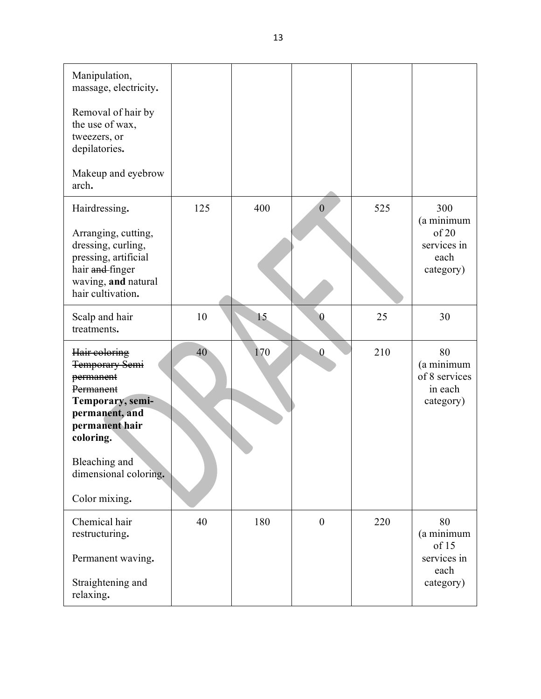| Manipulation,<br>massage, electricity.                                                                                                            |     |     |                  |     |                                                                |
|---------------------------------------------------------------------------------------------------------------------------------------------------|-----|-----|------------------|-----|----------------------------------------------------------------|
| Removal of hair by<br>the use of wax,<br>tweezers, or<br>depilatories.                                                                            |     |     |                  |     |                                                                |
| Makeup and eyebrow<br>arch.                                                                                                                       |     |     |                  |     |                                                                |
| Hairdressing.<br>Arranging, cutting,<br>dressing, curling,<br>pressing, artificial<br>hair and finger<br>waving, and natural<br>hair cultivation. | 125 | 400 | $\overline{0}$   | 525 | 300<br>(a minimum<br>of 20<br>services in<br>each<br>category) |
| Scalp and hair<br>treatments.                                                                                                                     | 10  | 15  | $\boldsymbol{0}$ | 25  | 30                                                             |
| Hair coloring<br>Temporary Semi<br>permanent<br>Permanent<br>Temporary, semi-<br>permanent, and<br>permanent hair<br>coloring.<br>Bleaching and   | 40  | 170 | $\overline{0}$   | 210 | 80<br>(a minimum<br>of 8 services<br>in each<br>category)      |
| dimensional coloring.<br>Color mixing.                                                                                                            |     |     |                  |     |                                                                |
| Chemical hair<br>restructuring.                                                                                                                   | 40  | 180 | $\boldsymbol{0}$ | 220 | 80<br>(a minimum<br>of 15                                      |
| Permanent waving.<br>Straightening and<br>relaxing.                                                                                               |     |     |                  |     | services in<br>each<br>category)                               |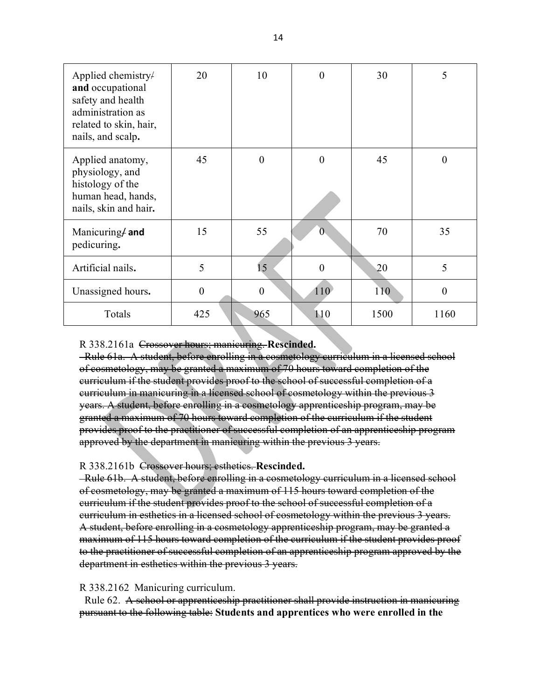| Applied chemistry/<br>and occupational<br>safety and health<br>administration as<br>related to skin, hair,<br>nails, and scalp. | 20               | 10       | $\theta$       | 30   | 5        |
|---------------------------------------------------------------------------------------------------------------------------------|------------------|----------|----------------|------|----------|
| Applied anatomy,<br>physiology, and<br>histology of the<br>human head, hands,<br>nails, skin and hair.                          | 45               | $\theta$ | $\overline{0}$ | 45   | $\Omega$ |
| Manicuring/and<br>pedicuring.                                                                                                   | 15               | 55       | $\overline{0}$ | 70   | 35       |
| Artificial nails.                                                                                                               | 5                | 15       | $\overline{0}$ | 20   | 5        |
| Unassigned hours.                                                                                                               | $\boldsymbol{0}$ | $\theta$ | 110            | 110  | $\theta$ |
| Totals                                                                                                                          | 425              | 965      | 110            | 1500 | 1160     |

#### R 338.2161a Crossover hours; manicuring. **Rescinded.**

 Rule 61a. A student, before enrolling in a cosmetology curriculum in a licensed school of cosmetology, may be granted a maximum of 70 hours toward completion of the curriculum if the student provides proof to the school of successful completion of a curriculum in manicuring in a licensed school of cosmetology within the previous 3 years. A student, before enrolling in a cosmetology apprenticeship program, may be granted a maximum of 70 hours toward completion of the curriculum if the student provides proof to the practitioner of successful completion of an apprenticeship program approved by the department in manicuring within the previous 3 years.

#### R 338.2161b Crossover hours; esthetics. **Rescinded.**

 Rule 61b. A student, before enrolling in a cosmetology curriculum in a licensed school of cosmetology, may be granted a maximum of 115 hours toward completion of the curriculum if the student provides proof to the school of successful completion of a curriculum in esthetics in a licensed school of cosmetology within the previous 3 years. A student, before enrolling in a cosmetology apprenticeship program, may be granted a maximum of 115 hours toward completion of the curriculum if the student provides proof to the practitioner of successful completion of an apprenticeship program approved by the department in esthetics within the previous 3 years.

#### R 338.2162 Manicuring curriculum.

Rule 62. A school or apprenticeship practitioner shall provide instruction in manicuring pursuant to the following table: **Students and apprentices who were enrolled in the**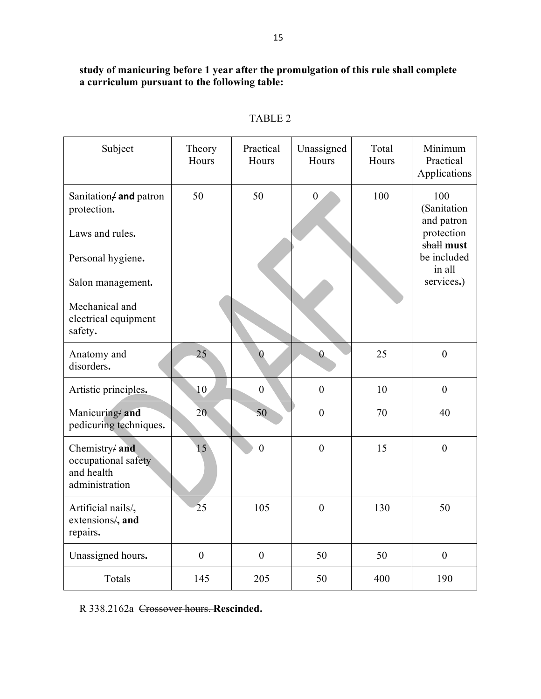# **study of manicuring before 1 year after the promulgation of this rule shall complete a curriculum pursuant to the following table:**

| Subject                                                                                                                                                | Theory<br>Hours  | Practical<br>Hours | Unassigned<br>Hours | Total<br>Hours | Minimum<br>Practical<br>Applications                                                                |
|--------------------------------------------------------------------------------------------------------------------------------------------------------|------------------|--------------------|---------------------|----------------|-----------------------------------------------------------------------------------------------------|
| Sanitation/and patron<br>protection.<br>Laws and rules.<br>Personal hygiene.<br>Salon management.<br>Mechanical and<br>electrical equipment<br>safety. | 50               | 50                 | $\boldsymbol{0}$    | 100            | 100<br>(Sanitation<br>and patron<br>protection<br>shall must<br>be included<br>in all<br>services.) |
| Anatomy and<br>disorders.                                                                                                                              | 25               | $\overline{0}$     | $\theta$            | 25             | $\mathbf{0}$                                                                                        |
| Artistic principles.                                                                                                                                   | 10               | $\boldsymbol{0}$   | $\boldsymbol{0}$    | 10             | $\boldsymbol{0}$                                                                                    |
| Manicuring/ and<br>pedicuring techniques.                                                                                                              | 20               | 50                 | $\mathbf{0}$        | 70             | 40                                                                                                  |
| Chemistry/ and<br>occupational safety<br>and health<br>administration                                                                                  | 15               | $\boldsymbol{0}$   | $\mathbf{0}$        | 15             | $\boldsymbol{0}$                                                                                    |
| Artificial nails/,<br>extensions/, and<br>repairs.                                                                                                     | 25               | 105                | $\overline{0}$      | 130            | 50                                                                                                  |
| Unassigned hours.                                                                                                                                      | $\boldsymbol{0}$ | $\boldsymbol{0}$   | 50                  | 50             | $\boldsymbol{0}$                                                                                    |
| Totals                                                                                                                                                 | 145              | 205                | 50                  | 400            | 190                                                                                                 |

# TABLE 2

R 338.2162a Crossover hours. **Rescinded.**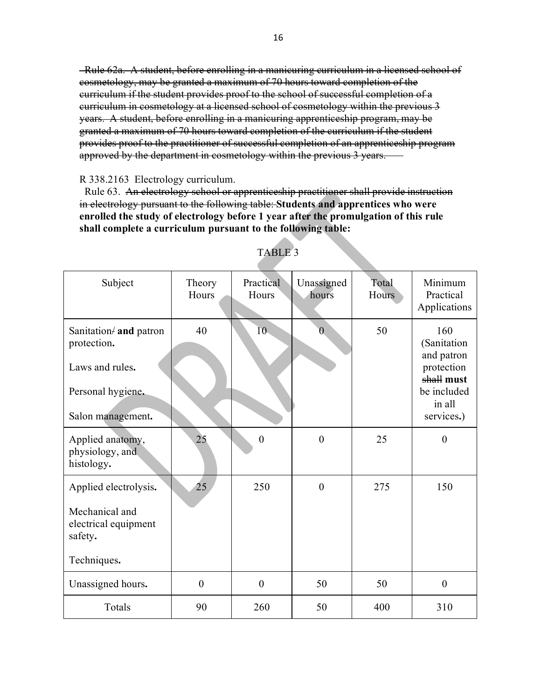Rule 62a. A student, before enrolling in a manicuring curriculum in a licensed school of cosmetology, may be granted a maximum of 70 hours toward completion of the curriculum if the student provides proof to the school of successful completion of a curriculum in cosmetology at a licensed school of cosmetology within the previous 3 years. A student, before enrolling in a manicuring apprenticeship program, may be granted a maximum of 70 hours toward completion of the curriculum if the student provides proof to the practitioner of successful completion of an apprenticeship program approved by the department in cosmetology within the previous 3 years.

#### R 338.2163 Electrology curriculum.

 Rule 63. An electrology school or apprenticeship practitioner shall provide instruction in electrology pursuant to the following table: **Students and apprentices who were enrolled the study of electrology before 1 year after the promulgation of this rule shall complete a curriculum pursuant to the following table:**

| Subject                                                                                            | Theory<br>Hours  | Practical<br>Hours | Unassigned<br>hours | Total<br>Hours | Minimum<br>Practical<br>Applications                                                                |
|----------------------------------------------------------------------------------------------------|------------------|--------------------|---------------------|----------------|-----------------------------------------------------------------------------------------------------|
| Sanitation/ and patron<br>protection.<br>Laws and rules.<br>Personal hygiene.<br>Salon management. | 40               | 10                 | $\theta$            | 50             | 160<br>(Sanitation<br>and patron<br>protection<br>shall must<br>be included<br>in all<br>services.) |
| Applied anatomy,<br>physiology, and<br>histology.                                                  | 25               | $\boldsymbol{0}$   | $\overline{0}$      | 25             | $\boldsymbol{0}$                                                                                    |
| Applied electrolysis.<br>Mechanical and<br>electrical equipment<br>safety.<br>Techniques.          | 25               | 250                | $\overline{0}$      | 275            | 150                                                                                                 |
| Unassigned hours.                                                                                  | $\boldsymbol{0}$ | $\overline{0}$     | 50                  | 50             | $\overline{0}$                                                                                      |
| Totals                                                                                             | 90               | 260                | 50                  | 400            | 310                                                                                                 |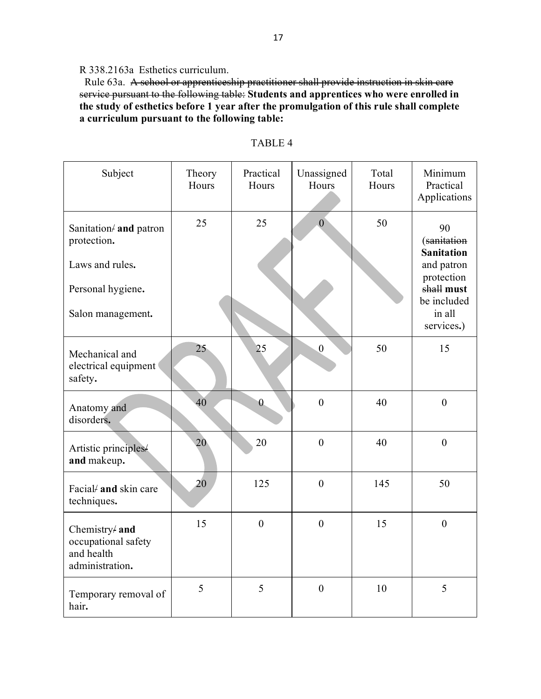R 338.2163a Esthetics curriculum.

 Rule 63a. A school or apprenticeship practitioner shall provide instruction in skin care service pursuant to the following table: **Students and apprentices who were enrolled in the study of esthetics before 1 year after the promulgation of this rule shall complete a curriculum pursuant to the following table:**

| Subject                                                                                            | Theory<br>Hours | Practical<br>Hours | Unassigned<br>Hours | Total<br>Hours | Minimum<br>Practical<br>Applications                                                                                    |
|----------------------------------------------------------------------------------------------------|-----------------|--------------------|---------------------|----------------|-------------------------------------------------------------------------------------------------------------------------|
| Sanitation/ and patron<br>protection.<br>Laws and rules.<br>Personal hygiene.<br>Salon management. | 25              | 25                 | $\overline{0}$      | 50             | 90<br>(sanitation<br><b>Sanitation</b><br>and patron<br>protection<br>shall must<br>be included<br>in all<br>services.) |
| Mechanical and<br>electrical equipment<br>safety.                                                  | 25              | 25                 | $\boldsymbol{0}$    | 50             | 15                                                                                                                      |
| Anatomy and<br>disorders.                                                                          | 40              | $\overline{0}$     | $\boldsymbol{0}$    | 40             | $\boldsymbol{0}$                                                                                                        |
| Artistic principles/<br>and makeup.                                                                | 20              | 20                 | $\boldsymbol{0}$    | 40             | $\boldsymbol{0}$                                                                                                        |
| Facial/ and skin care<br>techniques.                                                               | 20              | 125                | $\overline{0}$      | 145            | 50                                                                                                                      |
| Chemistry/ and<br>occupational safety<br>and health<br>administration.                             | 15              | $\boldsymbol{0}$   | $\boldsymbol{0}$    | 15             | $\boldsymbol{0}$                                                                                                        |
| Temporary removal of<br>hair.                                                                      | 5               | 5                  | $\boldsymbol{0}$    | 10             | 5                                                                                                                       |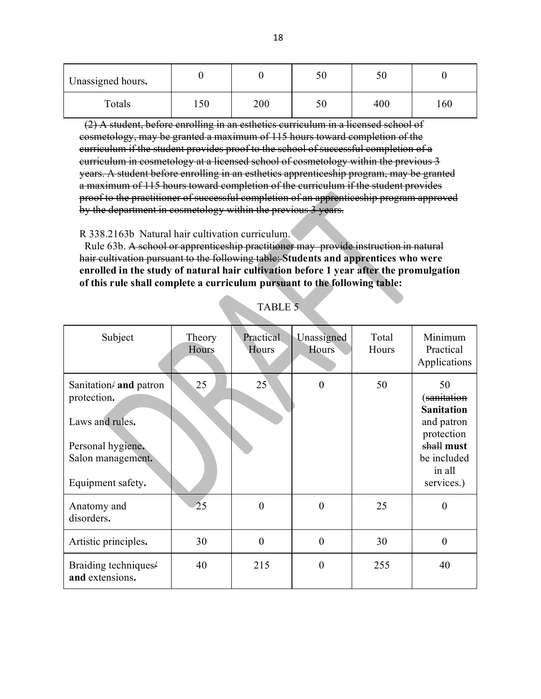| Unassigned hours. |     |     | 50 | υc  |     |
|-------------------|-----|-----|----|-----|-----|
| Totals            | 150 | 200 | 50 | 400 | 160 |

 (2) A student, before enrolling in an esthetics curriculum in a licensed school of cosmetology, may be granted a maximum of 115 hours toward completion of the curriculum if the student provides proof to the school of successful completion of a curriculum in cosmetology at a licensed school of cosmetology within the previous 3 years. A student before enrolling in an esthetics apprenticeship program, may be granted a maximum of 115 hours toward completion of the curriculum if the student provides proof to the practitioner of successful completion of an apprenticeship program approved by the department in cosmetology within the previous 3 years.

R 338.2163b Natural hair cultivation curriculum.

 Rule 63b. A school or apprenticeship practitioner may provide instruction in natural hair cultivation pursuant to the following table: **Students and apprentices who were enrolled in the study of natural hair cultivation before 1 year after the promulgation of this rule shall complete a curriculum pursuant to the following table:**

| Subject                                                                                                                       | Theory<br>Hours | Practical<br>Hours | Unassigned<br>Hours | Total<br>Hours | Minimum<br>Practical<br>Applications                                                                                                |
|-------------------------------------------------------------------------------------------------------------------------------|-----------------|--------------------|---------------------|----------------|-------------------------------------------------------------------------------------------------------------------------------------|
| Sanitation $\neq$ and patron<br>protection.<br>Laws and rules.<br>Personal hygiene.<br>Salon management.<br>Equipment safety. | 25              | $25^{\circ}$       | $\theta$            | 50             | 50<br>( <del>sanitation</del><br><b>Sanitation</b><br>and patron<br>protection<br>shall must<br>be included<br>in all<br>services.) |
| Anatomy and<br>disorders.                                                                                                     | 25              | $\theta$           | $\overline{0}$      | 25             | 0                                                                                                                                   |
| Artistic principles.                                                                                                          | 30              | $\theta$           | $\overline{0}$      | 30             | $\overline{0}$                                                                                                                      |
| Braiding techniques/<br>and extensions.                                                                                       | 40              | 215                | $\overline{0}$      | 255            | 40                                                                                                                                  |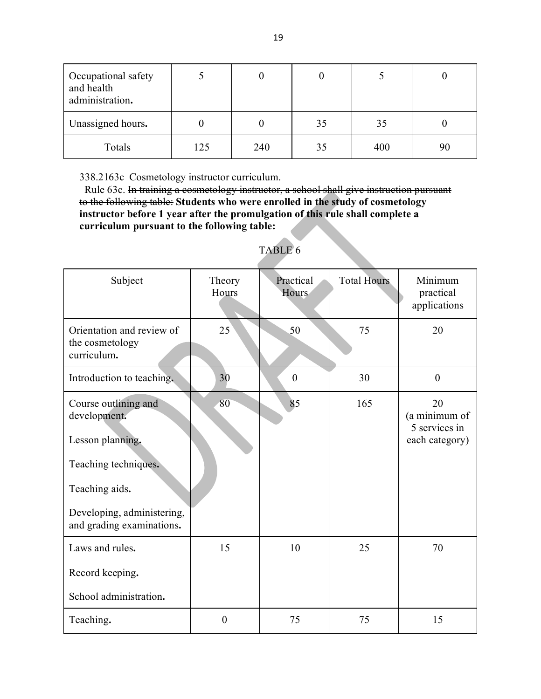| Occupational safety<br>and health<br>administration. |     |     |    |     |    |
|------------------------------------------------------|-----|-----|----|-----|----|
| Unassigned hours.                                    |     |     | 35 | 35  |    |
| Totals                                               | 125 | 240 | 35 | 400 | 90 |

338.2163c Cosmetology instructor curriculum.

 Rule 63c. In training a cosmetology instructor, a school shall give instruction pursuant to the following table: **Students who were enrolled in the study of cosmetology instructor before 1 year after the promulgation of this rule shall complete a curriculum pursuant to the following table:**

| Subject                                                     | Theory<br>Hours | Practical<br>Hours | <b>Total Hours</b> | Minimum<br>practical<br>applications                   |
|-------------------------------------------------------------|-----------------|--------------------|--------------------|--------------------------------------------------------|
| Orientation and review of<br>the cosmetology<br>curriculum. | 25              | 50                 | 75                 | 20                                                     |
| Introduction to teaching.                                   | 30              | $\boldsymbol{0}$   | 30                 | $\boldsymbol{0}$                                       |
| Course outlining and<br>development.<br>Lesson planning.    | 80              | 85                 | 165                | 20<br>(a minimum of<br>5 services in<br>each category) |
| Teaching techniques.<br>Teaching aids.                      |                 |                    |                    |                                                        |
| Developing, administering,<br>and grading examinations.     |                 |                    |                    |                                                        |
| Laws and rules.                                             | 15              | 10                 | 25                 | 70                                                     |
| Record keeping.                                             |                 |                    |                    |                                                        |
| School administration.                                      |                 |                    |                    |                                                        |
| Teaching.                                                   | $\overline{0}$  | 75                 | 75                 | 15                                                     |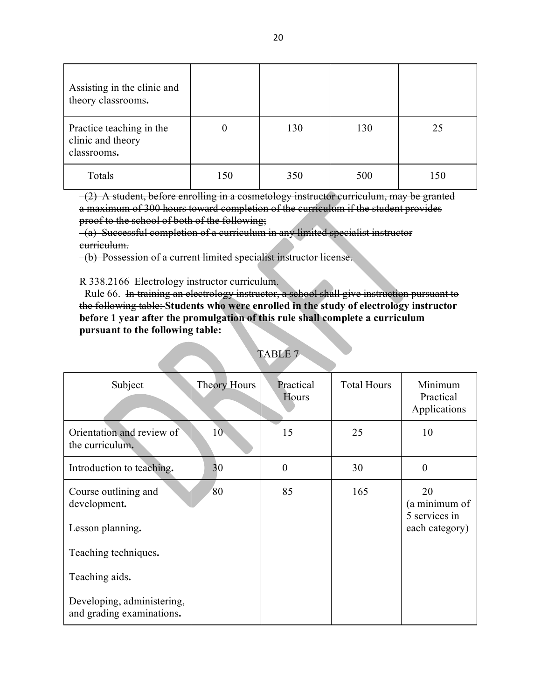| Assisting in the clinic and<br>theory classrooms.            |     |     |     |     |
|--------------------------------------------------------------|-----|-----|-----|-----|
| Practice teaching in the<br>clinic and theory<br>classrooms. | 0   | 130 | 130 | 25  |
| Totals                                                       | 150 | 350 | 500 | 150 |

 (2) A student, before enrolling in a cosmetology instructor curriculum, may be granted a maximum of 300 hours toward completion of the curriculum if the student provides proof to the school of both of the following;

 (a) Successful completion of a curriculum in any limited specialist instructor curriculum.

(b) Possession of a current limited specialist instructor license.

#### R 338.2166 Electrology instructor curriculum.

 Rule 66. In training an electrology instructor, a school shall give instruction pursuant to the following table: **Students who were enrolled in the study of electrology instructor before 1 year after the promulgation of this rule shall complete a curriculum pursuant to the following table:**

| Subject                                                 | Theory Hours    | Practical<br>Hours | <b>Total Hours</b> | Minimum<br>Practical<br>Applications |
|---------------------------------------------------------|-----------------|--------------------|--------------------|--------------------------------------|
| Orientation and review of<br>the curriculum.            | 10 <sup>°</sup> | 15                 | 25                 | 10                                   |
| Introduction to teaching.                               | 30              | $\overline{0}$     | 30                 | $\overline{0}$                       |
| Course outlining and<br>development.                    | 80              | 85                 | 165                | 20<br>(a minimum of<br>5 services in |
| Lesson planning.                                        |                 |                    |                    | each category)                       |
| Teaching techniques.                                    |                 |                    |                    |                                      |
| Teaching aids.                                          |                 |                    |                    |                                      |
| Developing, administering,<br>and grading examinations. |                 |                    |                    |                                      |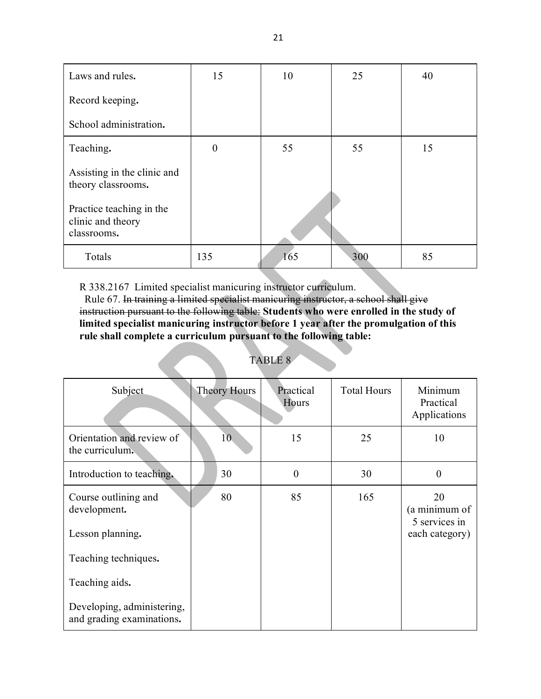| Laws and rules.                                              | 15       | 10  | 25  | 40 |
|--------------------------------------------------------------|----------|-----|-----|----|
| Record keeping.                                              |          |     |     |    |
| School administration.                                       |          |     |     |    |
| Teaching.                                                    | $\theta$ | 55  | 55  | 15 |
| Assisting in the clinic and<br>theory classrooms.            |          |     |     |    |
| Practice teaching in the<br>clinic and theory<br>classrooms. |          |     |     |    |
| Totals                                                       | 135      | 165 | 300 | 85 |

R 338.2167 Limited specialist manicuring instructor curriculum.

 Rule 67. In training a limited specialist manicuring instructor, a school shall give instruction pursuant to the following table: **Students who were enrolled in the study of limited specialist manicuring instructor before 1 year after the promulgation of this rule shall complete a curriculum pursuant to the following table:**

| Subject                                                 | <b>Theory Hours</b> | Practical<br>Hours | <b>Total Hours</b> | Minimum<br>Practical<br>Applications |
|---------------------------------------------------------|---------------------|--------------------|--------------------|--------------------------------------|
| Orientation and review of<br>the curriculum.            | 10                  | 15                 | 25                 | 10                                   |
| Introduction to teaching.                               | 30                  | $\overline{0}$     | 30                 | $\theta$                             |
| Course outlining and<br>development.                    | 80                  | 85                 | 165                | 20<br>(a minimum of<br>5 services in |
| Lesson planning.                                        |                     |                    |                    | each category)                       |
| Teaching techniques.                                    |                     |                    |                    |                                      |
| Teaching aids.                                          |                     |                    |                    |                                      |
| Developing, administering,<br>and grading examinations. |                     |                    |                    |                                      |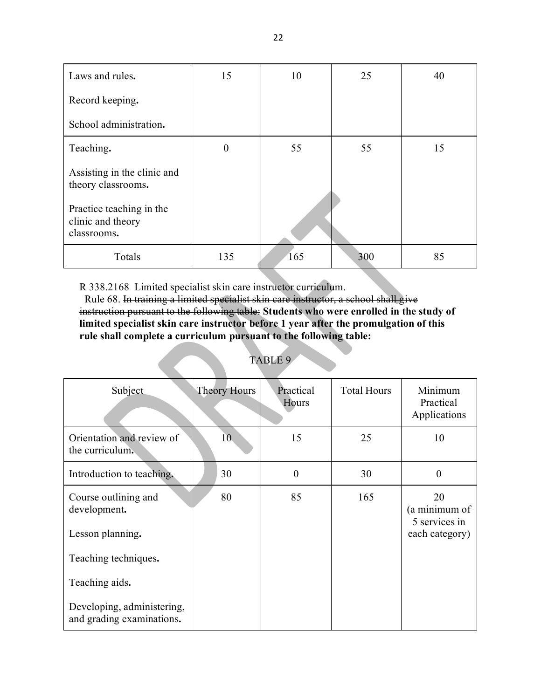| Laws and rules.                                              | 15       | 10  | 25  | 40 |
|--------------------------------------------------------------|----------|-----|-----|----|
| Record keeping.                                              |          |     |     |    |
| School administration.                                       |          |     |     |    |
| Teaching.                                                    | $\theta$ | 55  | 55  | 15 |
| Assisting in the clinic and<br>theory classrooms.            |          |     |     |    |
| Practice teaching in the<br>clinic and theory<br>classrooms. |          |     |     |    |
| Totals                                                       | 135      | 165 | 300 | 85 |

R 338.2168 Limited specialist skin care instructor curriculum.

 Rule 68. In training a limited specialist skin care instructor, a school shall give instruction pursuant to the following table: **Students who were enrolled in the study of limited specialist skin care instructor before 1 year after the promulgation of this rule shall complete a curriculum pursuant to the following table:**

| ABLF |  |  |
|------|--|--|
|      |  |  |

| Subject                                                 | <b>Theory Hours</b> | Practical<br>Hours | <b>Total Hours</b> | Minimum<br>Practical<br>Applications |
|---------------------------------------------------------|---------------------|--------------------|--------------------|--------------------------------------|
| Orientation and review of<br>the curriculum.            | 10                  | 15                 | 25                 | 10                                   |
| Introduction to teaching.                               | 30                  | $\theta$           | 30                 | $\overline{0}$                       |
| Course outlining and<br>development.                    | 80                  | 85                 | 165                | 20<br>(a minimum of<br>5 services in |
| Lesson planning.                                        |                     |                    |                    | each category)                       |
| Teaching techniques.                                    |                     |                    |                    |                                      |
| Teaching aids.                                          |                     |                    |                    |                                      |
| Developing, administering,<br>and grading examinations. |                     |                    |                    |                                      |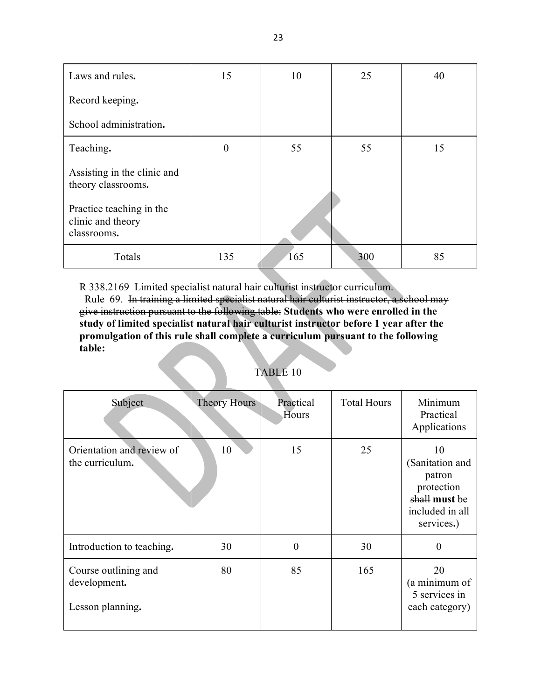| Laws and rules.                                              | 15       | 10  | 25  | 40 |
|--------------------------------------------------------------|----------|-----|-----|----|
| Record keeping.                                              |          |     |     |    |
| School administration.                                       |          |     |     |    |
| Teaching.                                                    | $\theta$ | 55  | 55  | 15 |
| Assisting in the clinic and<br>theory classrooms.            |          |     |     |    |
| Practice teaching in the<br>clinic and theory<br>classrooms. |          |     |     |    |
| Totals                                                       | 135      | 165 | 300 | 85 |

R 338.2169 Limited specialist natural hair culturist instructor curriculum.

 Rule 69. In training a limited specialist natural hair culturist instructor, a school may give instruction pursuant to the following table: **Students who were enrolled in the study of limited specialist natural hair culturist instructor before 1 year after the promulgation of this rule shall complete a curriculum pursuant to the following table:**

| TABLE 10 |  |
|----------|--|
|          |  |
|          |  |
|          |  |

| Subject                                                  | <b>Theory Hours</b> | Practical<br>Hours | <b>Total Hours</b> | Minimum<br>Practical<br>Applications                                                            |
|----------------------------------------------------------|---------------------|--------------------|--------------------|-------------------------------------------------------------------------------------------------|
| Orientation and review of<br>the curriculum.             | 10                  | 15                 | 25                 | 10<br>(Sanitation and<br>patron<br>protection<br>shall must be<br>included in all<br>services.) |
| Introduction to teaching.                                | 30                  | $\theta$           | 30                 | $\Omega$                                                                                        |
| Course outlining and<br>development.<br>Lesson planning. | 80                  | 85                 | 165                | 20<br>(a minimum of<br>5 services in<br>each category)                                          |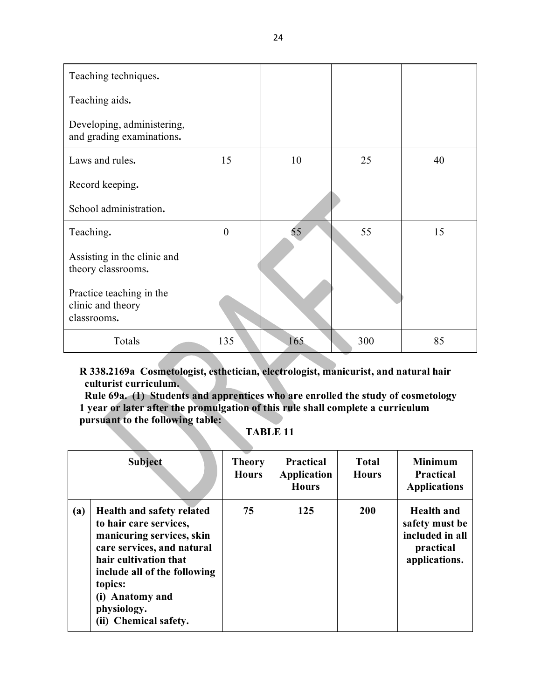| Teaching techniques.                                         |                |     |     |    |
|--------------------------------------------------------------|----------------|-----|-----|----|
| Teaching aids.                                               |                |     |     |    |
| Developing, administering,<br>and grading examinations.      |                |     |     |    |
| Laws and rules.                                              | 15             | 10  | 25  | 40 |
| Record keeping.                                              |                |     |     |    |
| School administration.                                       |                |     |     |    |
| Teaching.                                                    | $\overline{0}$ | 55  | 55  | 15 |
| Assisting in the clinic and<br>theory classrooms.            |                |     |     |    |
| Practice teaching in the<br>clinic and theory<br>classrooms. |                |     |     |    |
| Totals                                                       | 135            | 165 | 300 | 85 |

**R 338.2169a Cosmetologist, esthetician, electrologist, manicurist, and natural hair culturist curriculum.**

 **Rule 69a. (1) Students and apprentices who are enrolled the study of cosmetology 1 year or later after the promulgation of this rule shall complete a curriculum pursuant to the following table:**

|     | <b>Subject</b>                                                                                                                                                                                                                                       | <b>Theory</b><br><b>Hours</b> | <b>Practical</b><br>Application<br><b>Hours</b> | <b>Total</b><br><b>Hours</b> | <b>Minimum</b><br><b>Practical</b><br><b>Applications</b>                     |
|-----|------------------------------------------------------------------------------------------------------------------------------------------------------------------------------------------------------------------------------------------------------|-------------------------------|-------------------------------------------------|------------------------------|-------------------------------------------------------------------------------|
| (a) | <b>Health and safety related</b><br>to hair care services,<br>manicuring services, skin<br>care services, and natural<br>hair cultivation that<br>include all of the following<br>topics:<br>(i) Anatomy and<br>physiology.<br>(ii) Chemical safety. | 75                            | 125                                             | <b>200</b>                   | Health and<br>safety must be<br>included in all<br>practical<br>applications. |

**TABLE 11**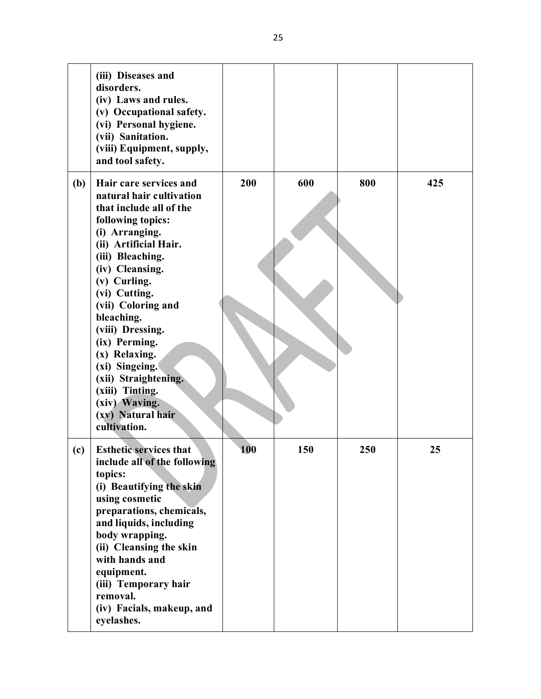|     | (iii) Diseases and<br>disorders.<br>(iv) Laws and rules.<br>(v) Occupational safety.<br>(vi) Personal hygiene.<br>(vii) Sanitation.<br>(viii) Equipment, supply,<br>and tool safety.                                                                                                                                                                                                                                               |     |     |     |     |
|-----|------------------------------------------------------------------------------------------------------------------------------------------------------------------------------------------------------------------------------------------------------------------------------------------------------------------------------------------------------------------------------------------------------------------------------------|-----|-----|-----|-----|
| (b) | Hair care services and<br>natural hair cultivation<br>that include all of the<br>following topics:<br>(i) Arranging.<br>(ii) Artificial Hair.<br>(iii) Bleaching.<br>(iv) Cleansing.<br>(v) Curling.<br>(vi) Cutting.<br>(vii) Coloring and<br>bleaching.<br>(viii) Dressing.<br>(ix) Perming.<br>(x) Relaxing.<br>(xi) Singeing.<br>(xii) Straightening.<br>(xiii) Tinting.<br>(xiv) Waving.<br>(xv) Natural hair<br>cultivation. | 200 | 600 | 800 | 425 |
| (c) | <b>Esthetic services that</b><br>include all of the following<br>topics:<br>(i) Beautifying the skin<br>using cosmetic<br>preparations, chemicals,<br>and liquids, including<br>body wrapping.<br>(ii) Cleansing the skin<br>with hands and<br>equipment.<br>(iii) Temporary hair<br>removal.<br>(iv) Facials, makeup, and<br>eyelashes.                                                                                           | 100 | 150 | 250 | 25  |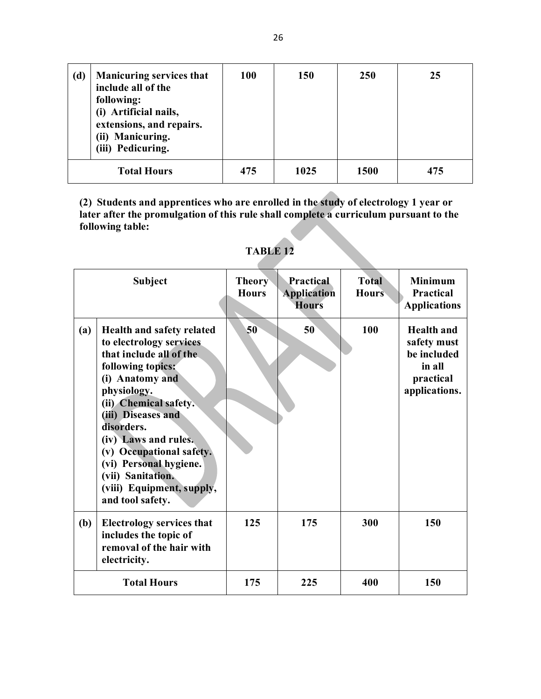| (d) | <b>Manicuring services that</b><br>include all of the<br>following:<br>(i) Artificial nails,<br>extensions, and repairs.<br>(ii) Manicuring.<br>(iii) Pedicuring. | <b>100</b> | <b>150</b> | <b>250</b>  | 25  |
|-----|-------------------------------------------------------------------------------------------------------------------------------------------------------------------|------------|------------|-------------|-----|
|     | <b>Total Hours</b>                                                                                                                                                | 475        | 1025       | <b>1500</b> | 475 |

**(2) Students and apprentices who are enrolled in the study of electrology 1 year or later after the promulgation of this rule shall complete a curriculum pursuant to the following table:** 

|     | <b>Subject</b>                                                                                                                                                                                                                                                                                                                                          | <b>Theory</b><br><b>Hours</b> | <b>Practical</b><br><b>Application</b><br><b>Hours</b> | <b>Total</b><br><b>Hours</b> | <b>Minimum</b><br>Practical<br><b>Applications</b>                                      |
|-----|---------------------------------------------------------------------------------------------------------------------------------------------------------------------------------------------------------------------------------------------------------------------------------------------------------------------------------------------------------|-------------------------------|--------------------------------------------------------|------------------------------|-----------------------------------------------------------------------------------------|
| (a) | Health and safety related<br>to electrology services<br>that include all of the<br>following topics:<br>(i) Anatomy and<br>physiology.<br>(ii) Chemical safety.<br>(iii) Diseases and<br>disorders.<br>(iv) Laws and rules.<br>(v) Occupational safety.<br>(vi) Personal hygiene.<br>(vii) Sanitation.<br>(viii) Equipment, supply,<br>and tool safety. | 50                            | 50                                                     | 100                          | <b>Health</b> and<br>safety must<br>be included<br>in all<br>practical<br>applications. |
| (b) | <b>Electrology services that</b><br>includes the topic of<br>removal of the hair with<br>electricity.                                                                                                                                                                                                                                                   | 125                           | 175                                                    | 300                          | 150                                                                                     |
|     | <b>Total Hours</b>                                                                                                                                                                                                                                                                                                                                      | 175                           | 225                                                    | 400                          | 150                                                                                     |

**TABLE 12**

z.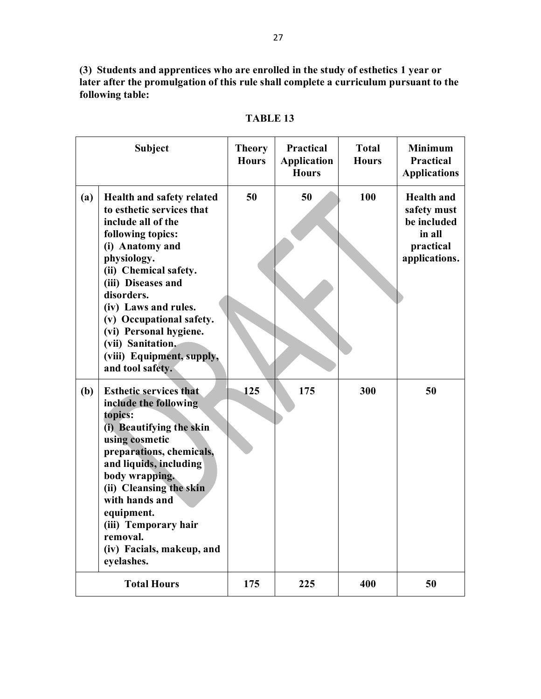**(3) Students and apprentices who are enrolled in the study of esthetics 1 year or later after the promulgation of this rule shall complete a curriculum pursuant to the following table:** 

| <b>Subject</b>                                                                                                                                                                                                                                                                                                                                              | <b>Theory</b><br><b>Hours</b> | Practical<br><b>Application</b><br><b>Hours</b> | <b>Total</b><br><b>Hours</b> | <b>Minimum</b><br><b>Practical</b><br><b>Applications</b>                               |
|-------------------------------------------------------------------------------------------------------------------------------------------------------------------------------------------------------------------------------------------------------------------------------------------------------------------------------------------------------------|-------------------------------|-------------------------------------------------|------------------------------|-----------------------------------------------------------------------------------------|
| (a)<br>Health and safety related<br>to esthetic services that<br>include all of the<br>following topics:<br>(i) Anatomy and<br>physiology.<br>(ii) Chemical safety.<br>(iii) Diseases and<br>disorders.<br>(iv) Laws and rules.<br>(v) Occupational safety.<br>(vi) Personal hygiene.<br>(vii) Sanitation.<br>(viii) Equipment, supply,<br>and tool safety. | 50                            | 50                                              | 100                          | <b>Health</b> and<br>safety must<br>be included<br>in all<br>practical<br>applications. |
| (b)<br><b>Esthetic services that</b><br>include the following<br>topics:<br>(i) Beautifying the skin<br>using cosmetic<br>preparations, chemicals,<br>and liquids, including<br>body wrapping.<br>(ii) Cleansing the skin<br>with hands and<br>equipment.<br>(iii) Temporary hair<br>removal.<br>(iv) Facials, makeup, and<br>eyelashes.                    | 125                           | 175                                             | 300                          | 50                                                                                      |
| <b>Total Hours</b>                                                                                                                                                                                                                                                                                                                                          | 175                           | 225                                             | 400                          | 50                                                                                      |

**TABLE 13**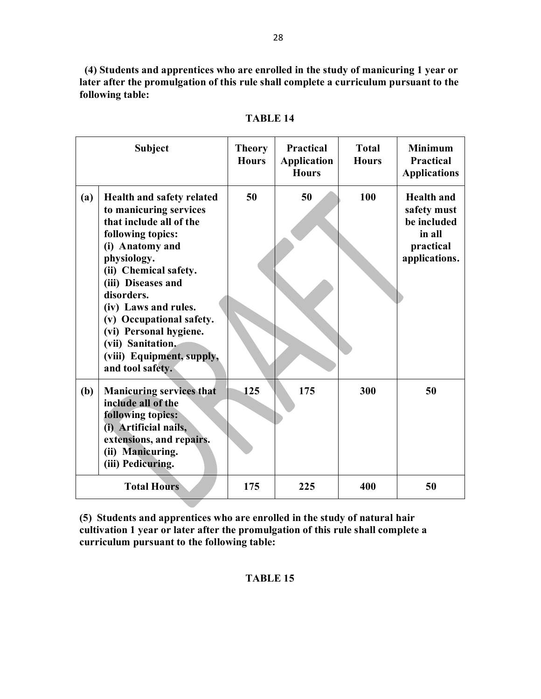**(4) Students and apprentices who are enrolled in the study of manicuring 1 year or later after the promulgation of this rule shall complete a curriculum pursuant to the following table:** 

|            | <b>Subject</b>                                                                                                                                                                                                                                                                                                                                         | <b>Theory</b><br><b>Hours</b> | <b>Practical</b><br><b>Application</b><br><b>Hours</b> | <b>Total</b><br><b>Hours</b> | <b>Minimum</b><br><b>Practical</b><br><b>Applications</b>                               |
|------------|--------------------------------------------------------------------------------------------------------------------------------------------------------------------------------------------------------------------------------------------------------------------------------------------------------------------------------------------------------|-------------------------------|--------------------------------------------------------|------------------------------|-----------------------------------------------------------------------------------------|
| (a)        | Health and safety related<br>to manicuring services<br>that include all of the<br>following topics:<br>(i) Anatomy and<br>physiology.<br>(ii) Chemical safety.<br>(iii) Diseases and<br>disorders.<br>(iv) Laws and rules.<br>(v) Occupational safety.<br>(vi) Personal hygiene.<br>(vii) Sanitation.<br>(viii) Equipment, supply,<br>and tool safety. | 50                            | 50                                                     | 100                          | <b>Health</b> and<br>safety must<br>be included<br>in all<br>practical<br>applications. |
| <b>(b)</b> | <b>Manicuring services that</b><br>include all of the<br>following topics:<br>(i) Artificial nails,<br>extensions, and repairs.<br>(ii) Manicuring.<br>(iii) Pedicuring.                                                                                                                                                                               | 125                           | 175                                                    | 300                          | 50                                                                                      |
|            | <b>Total Hours</b>                                                                                                                                                                                                                                                                                                                                     | 175                           | 225                                                    | 400                          | 50                                                                                      |

**TABLE 14**

**(5) Students and apprentices who are enrolled in the study of natural hair cultivation 1 year or later after the promulgation of this rule shall complete a curriculum pursuant to the following table:**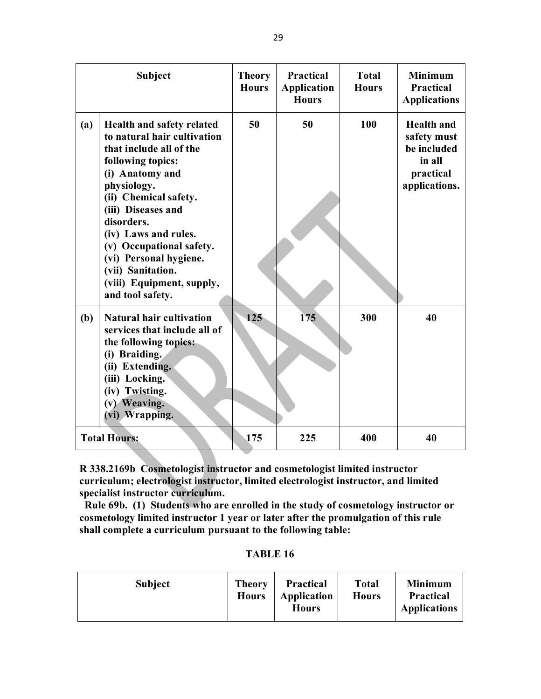|     | <b>Subject</b>                                                                                                                                                                                                                                                                                                                                              | <b>Theory</b><br><b>Hours</b> | <b>Practical</b><br><b>Application</b><br><b>Hours</b> | <b>Total</b><br><b>Hours</b> | <b>Minimum</b><br><b>Practical</b><br><b>Applications</b>                               |
|-----|-------------------------------------------------------------------------------------------------------------------------------------------------------------------------------------------------------------------------------------------------------------------------------------------------------------------------------------------------------------|-------------------------------|--------------------------------------------------------|------------------------------|-----------------------------------------------------------------------------------------|
| (a) | Health and safety related<br>to natural hair cultivation<br>that include all of the<br>following topics:<br>(i) Anatomy and<br>physiology.<br>(ii) Chemical safety.<br>(iii) Diseases and<br>disorders.<br>(iv) Laws and rules.<br>(v) Occupational safety.<br>(vi) Personal hygiene.<br>(vii) Sanitation.<br>(viii) Equipment, supply,<br>and tool safety. | 50                            | 50                                                     | 100                          | <b>Health and</b><br>safety must<br>be included<br>in all<br>practical<br>applications. |
| (b) | <b>Natural hair cultivation</b><br>services that include all of<br>the following topics:<br>(i) Braiding.<br>(ii) Extending.<br>(iii) Locking.<br>(iv) Twisting.<br>(v) Weaving.<br>(vi) Wrapping.                                                                                                                                                          | 125                           | 175                                                    | 300                          | 40                                                                                      |
|     | <b>Total Hours:</b>                                                                                                                                                                                                                                                                                                                                         | 175                           | 225                                                    | 400                          | 40                                                                                      |

**R 338.2169b Cosmetologist instructor and cosmetologist limited instructor curriculum; electrologist instructor, limited electrologist instructor, and limited specialist instructor curriculum.**

 **Rule 69b. (1) Students who are enrolled in the study of cosmetology instructor or cosmetology limited instructor 1 year or later after the promulgation of this rule shall complete a curriculum pursuant to the following table:** 

| <b>TABLE 16</b> |  |
|-----------------|--|
|-----------------|--|

| <b>Subject</b> | <b>Theory</b><br><b>Hours</b> | <b>Practical</b><br>Application<br><b>Hours</b> | <b>Total</b><br><b>Hours</b> | <b>Minimum</b><br><b>Practical</b><br><b>Applications</b> |
|----------------|-------------------------------|-------------------------------------------------|------------------------------|-----------------------------------------------------------|
|----------------|-------------------------------|-------------------------------------------------|------------------------------|-----------------------------------------------------------|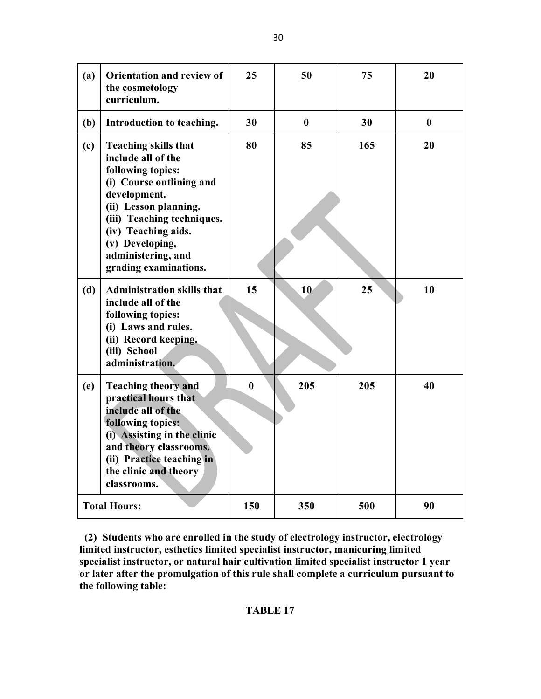| (a) | Orientation and review of<br>the cosmetology<br>curriculum.                                                                                                                                                                                                        | 25       | 50       | 75  | 20       |
|-----|--------------------------------------------------------------------------------------------------------------------------------------------------------------------------------------------------------------------------------------------------------------------|----------|----------|-----|----------|
| (b) | Introduction to teaching.                                                                                                                                                                                                                                          | 30       | $\bf{0}$ | 30  | $\bf{0}$ |
| (c) | <b>Teaching skills that</b><br>include all of the<br>following topics:<br>(i) Course outlining and<br>development.<br>(ii) Lesson planning.<br>(iii) Teaching techniques.<br>(iv) Teaching aids.<br>(v) Developing,<br>administering, and<br>grading examinations. | 80       | 85       | 165 | 20       |
| (d) | <b>Administration skills that</b><br>include all of the<br>following topics:<br>(i) Laws and rules.<br>(ii) Record keeping.<br>(iii) School<br>administration.                                                                                                     | 15       | 10       | 25  | 10       |
| (e) | <b>Teaching theory and</b><br>practical hours that<br>include all of the<br>following topics:<br>(i) Assisting in the clinic<br>and theory classrooms.<br>(ii) Practice teaching in<br>the clinic and theory<br>classrooms.                                        | $\bf{0}$ | 205      | 205 | 40       |
|     | <b>Total Hours:</b>                                                                                                                                                                                                                                                | 150      | 350      | 500 | 90       |

 **(2) Students who are enrolled in the study of electrology instructor, electrology limited instructor, esthetics limited specialist instructor, manicuring limited specialist instructor, or natural hair cultivation limited specialist instructor 1 year or later after the promulgation of this rule shall complete a curriculum pursuant to the following table:**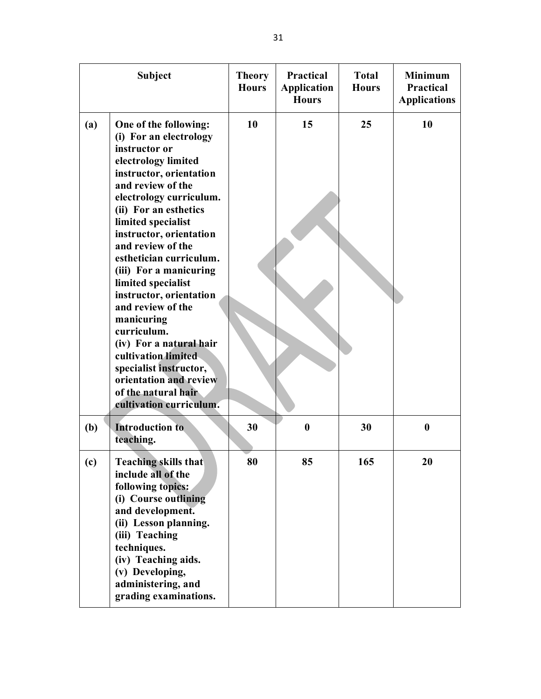| <b>Subject</b> |                                                                                                                                                                                                                                                                                                                                                                                                                                                                                                                                                                                   | <b>Theory</b><br><b>Hours</b> | Practical<br><b>Application</b><br><b>Hours</b> | <b>Total</b><br><b>Hours</b> | <b>Minimum</b><br>Practical<br><b>Applications</b> |
|----------------|-----------------------------------------------------------------------------------------------------------------------------------------------------------------------------------------------------------------------------------------------------------------------------------------------------------------------------------------------------------------------------------------------------------------------------------------------------------------------------------------------------------------------------------------------------------------------------------|-------------------------------|-------------------------------------------------|------------------------------|----------------------------------------------------|
| (a)            | One of the following:<br>(i) For an electrology<br>instructor or<br>electrology limited<br>instructor, orientation<br>and review of the<br>electrology curriculum.<br>(ii) For an esthetics<br>limited specialist<br>instructor, orientation<br>and review of the<br>esthetician curriculum.<br>(iii) For a manicuring<br>limited specialist<br>instructor, orientation<br>and review of the<br>manicuring<br>curriculum.<br>(iv) For a natural hair<br>cultivation limited<br>specialist instructor,<br>orientation and review<br>of the natural hair<br>cultivation curriculum. | 10                            | 15                                              | 25                           | 10                                                 |
| (b)            | <b>Introduction to</b><br>teaching.                                                                                                                                                                                                                                                                                                                                                                                                                                                                                                                                               | 30                            | $\bf{0}$                                        | 30                           | $\boldsymbol{0}$                                   |
| (c)            | <b>Teaching skills that</b><br>include all of the<br>following topics:<br>(i) Course outlining<br>and development.<br>(ii) Lesson planning.<br>(iii) Teaching<br>techniques.<br>(iv) Teaching aids.<br>(v) Developing,<br>administering, and<br>grading examinations.                                                                                                                                                                                                                                                                                                             | 80                            | 85                                              | 165                          | 20                                                 |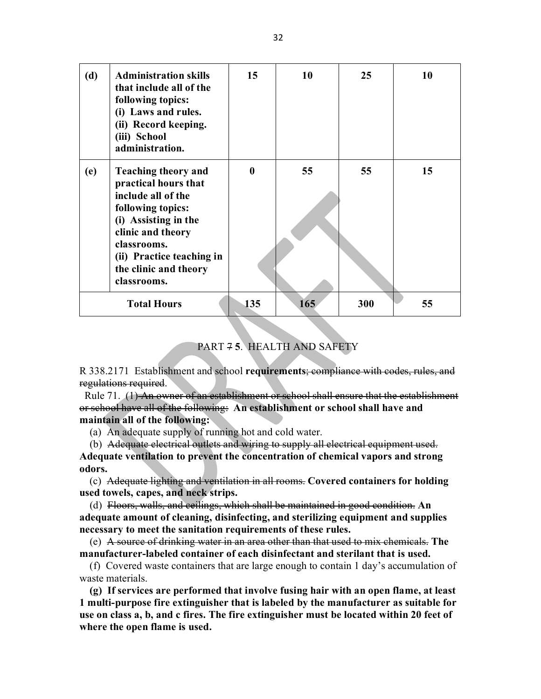| (d) | <b>Administration skills</b><br>that include all of the<br>following topics:<br>(i) Laws and rules.<br>(ii) Record keeping.<br>(iii) School<br>administration.                                                                 | 15           | 10  | 25  | 10 |
|-----|--------------------------------------------------------------------------------------------------------------------------------------------------------------------------------------------------------------------------------|--------------|-----|-----|----|
| (e) | <b>Teaching theory and</b><br>practical hours that<br>include all of the<br>following topics:<br>(i) Assisting in the<br>clinic and theory<br>classrooms.<br>(ii) Practice teaching in<br>the clinic and theory<br>classrooms. | $\mathbf{0}$ | 55  | 55  | 15 |
|     | <b>Total Hours</b>                                                                                                                                                                                                             | 135          | 165 | 300 | 55 |

# PART 7 **5**. HEALTH AND SAFETY

R 338.2171 Establishment and school **requirements**; compliance with codes, rules, and regulations required.

 Rule 71. (1) An owner of an establishment or school shall ensure that the establishment or school have all of the following: **An establishment or school shall have and maintain all of the following:**

(a) An adequate supply of running hot and cold water.

(b) Adequate electrical outlets and wiring to supply all electrical equipment used. **Adequate ventilation to prevent the concentration of chemical vapors and strong odors.**

 (c) Adequate lighting and ventilation in all rooms. **Covered containers for holding used towels, capes, and neck strips.** 

 (d) Floors, walls, and ceilings, which shall be maintained in good condition. **An adequate amount of cleaning, disinfecting, and sterilizing equipment and supplies necessary to meet the sanitation requirements of these rules.** 

 (e) A source of drinking water in an area other than that used to mix chemicals. **The manufacturer-labeled container of each disinfectant and sterilant that is used.** 

 (f) Covered waste containers that are large enough to contain 1 day's accumulation of waste materials.

 **(g) If services are performed that involve fusing hair with an open flame, at least 1 multi-purpose fire extinguisher that is labeled by the manufacturer as suitable for use on class a, b, and c fires. The fire extinguisher must be located within 20 feet of where the open flame is used.** 

32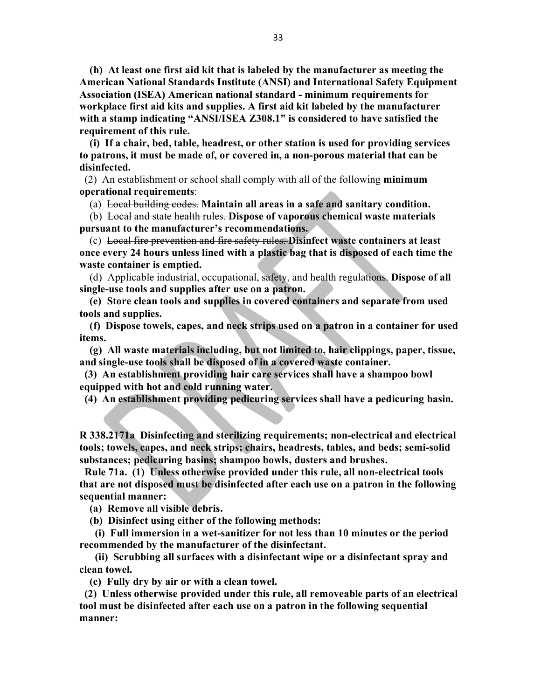**(h) At least one first aid kit that is labeled by the manufacturer as meeting the American National Standards Institute (ANSI) and International Safety Equipment Association (ISEA) American national standard - minimum requirements for workplace first aid kits and supplies. A first aid kit labeled by the manufacturer with a stamp indicating "ANSI/ISEA Z308.1" is considered to have satisfied the requirement of this rule.** 

 **(i) If a chair, bed, table, headrest, or other station is used for providing services to patrons, it must be made of, or covered in, a non-porous material that can be disinfected.** 

 (2) An establishment or school shall comply with all of the following **minimum operational requirements**:

(a) Local building codes. **Maintain all areas in a safe and sanitary condition.** 

 (b) Local and state health rules. **Dispose of vaporous chemical waste materials pursuant to the manufacturer's recommendations.**

 (c) Local fire prevention and fire safety rules. **Disinfect waste containers at least once every 24 hours unless lined with a plastic bag that is disposed of each time the waste container is emptied.** 

 (d) Applicable industrial, occupational, safety, and health regulations. **Dispose of all single-use tools and supplies after use on a patron.**

 **(e) Store clean tools and supplies in covered containers and separate from used tools and supplies.**

 **(f) Dispose towels, capes, and neck strips used on a patron in a container for used items.** 

 **(g) All waste materials including, but not limited to, hair clippings, paper, tissue, and single-use tools shall be disposed of in a covered waste container.**

 **(3) An establishment providing hair care services shall have a shampoo bowl equipped with hot and cold running water.** 

 **(4) An establishment providing pedicuring services shall have a pedicuring basin.**

**R 338.2171a Disinfecting and sterilizing requirements; non-electrical and electrical tools; towels, capes, and neck strips; chairs, headrests, tables, and beds; semi-solid substances; pedicuring basins; shampoo bowls, dusters and brushes.**

 **Rule 71a. (1) Unless otherwise provided under this rule, all non-electrical tools that are not disposed must be disinfected after each use on a patron in the following sequential manner:**

 **(a) Remove all visible debris.**

 **(b) Disinfect using either of the following methods:**

 **(i) Full immersion in a wet-sanitizer for not less than 10 minutes or the period recommended by the manufacturer of the disinfectant.** 

 **(ii) Scrubbing all surfaces with a disinfectant wipe or a disinfectant spray and clean towel.** 

 **(c) Fully dry by air or with a clean towel.** 

 **(2) Unless otherwise provided under this rule, all removeable parts of an electrical tool must be disinfected after each use on a patron in the following sequential manner:**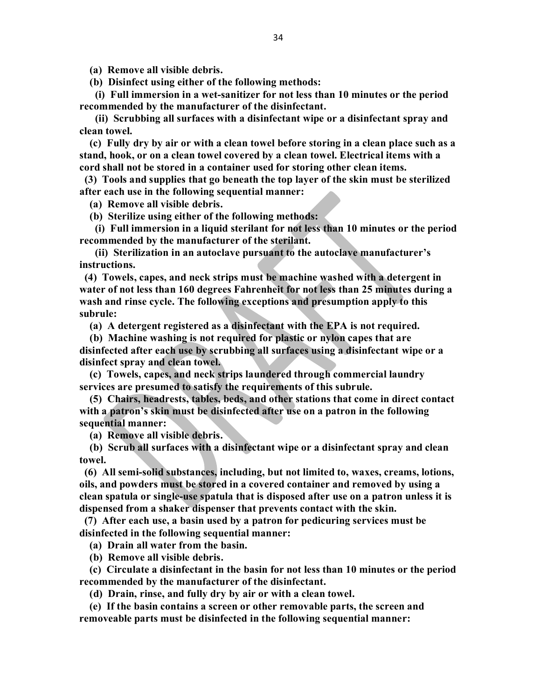**(a) Remove all visible debris.**

 **(b) Disinfect using either of the following methods:**

 **(i) Full immersion in a wet-sanitizer for not less than 10 minutes or the period recommended by the manufacturer of the disinfectant.**

 **(ii) Scrubbing all surfaces with a disinfectant wipe or a disinfectant spray and clean towel.** 

 **(c) Fully dry by air or with a clean towel before storing in a clean place such as a stand, hook, or on a clean towel covered by a clean towel. Electrical items with a cord shall not be stored in a container used for storing other clean items.** 

 **(3) Tools and supplies that go beneath the top layer of the skin must be sterilized after each use in the following sequential manner:**

 **(a) Remove all visible debris.**

 **(b) Sterilize using either of the following methods:**

 **(i) Full immersion in a liquid sterilant for not less than 10 minutes or the period recommended by the manufacturer of the sterilant.**

 **(ii) Sterilization in an autoclave pursuant to the autoclave manufacturer's instructions.**

 **(4) Towels, capes, and neck strips must be machine washed with a detergent in water of not less than 160 degrees Fahrenheit for not less than 25 minutes during a wash and rinse cycle. The following exceptions and presumption apply to this subrule:**

 **(a) A detergent registered as a disinfectant with the EPA is not required.** 

 **(b) Machine washing is not required for plastic or nylon capes that are disinfected after each use by scrubbing all surfaces using a disinfectant wipe or a disinfect spray and clean towel.**

 **(c) Towels, capes, and neck strips laundered through commercial laundry services are presumed to satisfy the requirements of this subrule.** 

 **(5) Chairs, headrests, tables, beds, and other stations that come in direct contact with a patron's skin must be disinfected after use on a patron in the following sequential manner:**

 **(a) Remove all visible debris.**

 **(b) Scrub all surfaces with a disinfectant wipe or a disinfectant spray and clean towel.**

 **(6) All semi-solid substances, including, but not limited to, waxes, creams, lotions, oils, and powders must be stored in a covered container and removed by using a clean spatula or single-use spatula that is disposed after use on a patron unless it is dispensed from a shaker dispenser that prevents contact with the skin.** 

 **(7) After each use, a basin used by a patron for pedicuring services must be disinfected in the following sequential manner:**

 **(a) Drain all water from the basin.** 

 **(b) Remove all visible debris.** 

 **(c) Circulate a disinfectant in the basin for not less than 10 minutes or the period recommended by the manufacturer of the disinfectant.**

 **(d) Drain, rinse, and fully dry by air or with a clean towel.** 

 **(e) If the basin contains a screen or other removable parts, the screen and removeable parts must be disinfected in the following sequential manner:**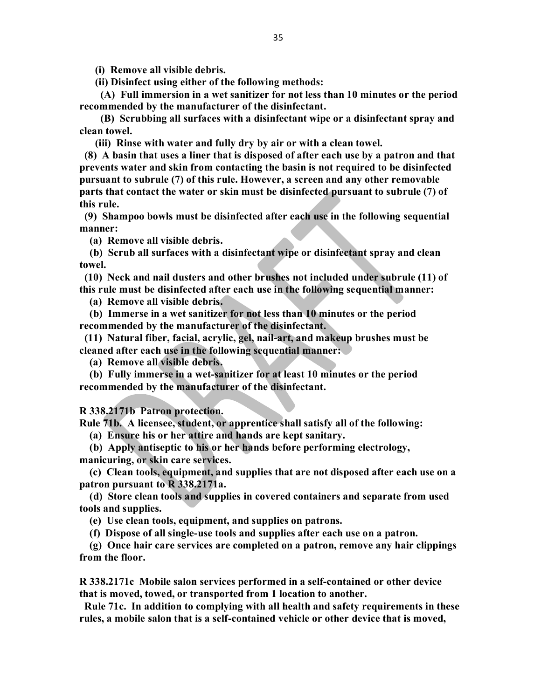**(i) Remove all visible debris.**

 **(ii) Disinfect using either of the following methods:**

 **(A) Full immersion in a wet sanitizer for not less than 10 minutes or the period recommended by the manufacturer of the disinfectant.**

 **(B) Scrubbing all surfaces with a disinfectant wipe or a disinfectant spray and clean towel.** 

 **(iii) Rinse with water and fully dry by air or with a clean towel.** 

 **(8) A basin that uses a liner that is disposed of after each use by a patron and that prevents water and skin from contacting the basin is not required to be disinfected pursuant to subrule (7) of this rule. However, a screen and any other removable parts that contact the water or skin must be disinfected pursuant to subrule (7) of this rule.** 

 **(9) Shampoo bowls must be disinfected after each use in the following sequential manner:**

 **(a) Remove all visible debris.**

 **(b) Scrub all surfaces with a disinfectant wipe or disinfectant spray and clean towel.**

 **(10) Neck and nail dusters and other brushes not included under subrule (11) of this rule must be disinfected after each use in the following sequential manner:**

 **(a) Remove all visible debris.**

 **(b) Immerse in a wet sanitizer for not less than 10 minutes or the period recommended by the manufacturer of the disinfectant.**

 **(11) Natural fiber, facial, acrylic, gel, nail-art, and makeup brushes must be cleaned after each use in the following sequential manner:**

 **(a) Remove all visible debris.**

 **(b) Fully immerse in a wet-sanitizer for at least 10 minutes or the period recommended by the manufacturer of the disinfectant.** 

**R 338.2171b Patron protection.**

**Rule 71b. A licensee, student, or apprentice shall satisfy all of the following:** 

 **(a) Ensure his or her attire and hands are kept sanitary.** 

 **(b) Apply antiseptic to his or her hands before performing electrology, manicuring, or skin care services.**

 **(c) Clean tools, equipment, and supplies that are not disposed after each use on a patron pursuant to R 338.2171a.**

 **(d) Store clean tools and supplies in covered containers and separate from used tools and supplies.**

 **(e) Use clean tools, equipment, and supplies on patrons.** 

 **(f) Dispose of all single-use tools and supplies after each use on a patron.** 

 **(g) Once hair care services are completed on a patron, remove any hair clippings from the floor.** 

**R 338.2171c Mobile salon services performed in a self-contained or other device that is moved, towed, or transported from 1 location to another.** 

 **Rule 71c. In addition to complying with all health and safety requirements in these rules, a mobile salon that is a self-contained vehicle or other device that is moved,**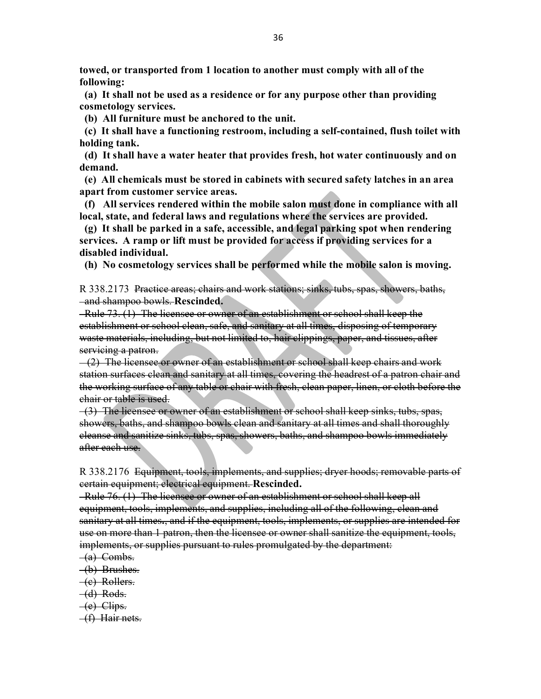**towed, or transported from 1 location to another must comply with all of the following:**

 **(a) It shall not be used as a residence or for any purpose other than providing cosmetology services.**

 **(b) All furniture must be anchored to the unit.**

 **(c) It shall have a functioning restroom, including a self-contained, flush toilet with holding tank.**

 **(d) It shall have a water heater that provides fresh, hot water continuously and on demand.**

 **(e) All chemicals must be stored in cabinets with secured safety latches in an area apart from customer service areas.**

 **(f) All services rendered within the mobile salon must done in compliance with all local, state, and federal laws and regulations where the services are provided.**

 **(g) It shall be parked in a safe, accessible, and legal parking spot when rendering services. A ramp or lift must be provided for access if providing services for a disabled individual.** 

 **(h) No cosmetology services shall be performed while the mobile salon is moving.**

R 338.2173 Practice areas; chairs and work stations; sinks, tubs, spas, showers, baths, and shampoo bowls. **Rescinded.**

 Rule 73. (1) The licensee or owner of an establishment or school shall keep the establishment or school clean, safe, and sanitary at all times, disposing of temporary waste materials, including, but not limited to, hair clippings, paper, and tissues, after servicing a patron.

(2) The licensee or owner of an establishment or school shall keep chairs and work station surfaces clean and sanitary at all times, covering the headrest of a patron chair and the working surface of any table or chair with fresh, clean paper, linen, or cloth before the chair or table is used.

 (3) The licensee or owner of an establishment or school shall keep sinks, tubs, spas, showers, baths, and shampoo bowls clean and sanitary at all times and shall thoroughly cleanse and sanitize sinks, tubs, spas, showers, baths, and shampoo bowls immediately after each use.

R 338.2176 Equipment, tools, implements, and supplies; dryer hoods; removable parts of certain equipment; electrical equipment. **Rescinded.**

 Rule 76. (1) The licensee or owner of an establishment or school shall keep all equipment, tools, implements, and supplies, including all of the following, clean and sanitary at all times**.**, and if the equipment, tools, implements, or supplies are intended for use on more than 1 patron, then the licensee or owner shall sanitize the equipment, tools, implements, or supplies pursuant to rules promulgated by the department:

- (a) Combs.
- (b) Brushes.
- (c) Rollers.
- $-d$ ) Rods.
- (e) Clips.
- (f) Hair nets.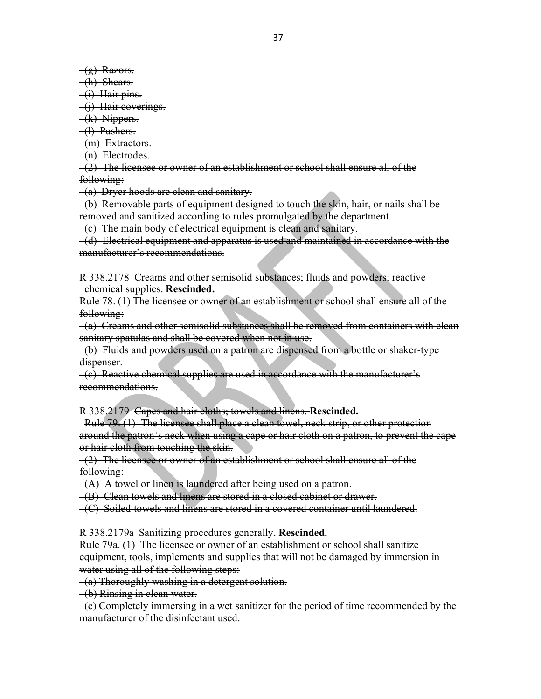$(g)$  Razors.

(h) Shears.

(i) Hair pins.

(j) Hair coverings.

(k) Nippers.

(l) Pushers.

(m) Extractors.

(n) Electrodes.

(2) The licensee or owner of an establishment or school shall ensure all of the following:

(a) Dryer hoods are clean and sanitary.

 (b) Removable parts of equipment designed to touch the skin, hair, or nails shall be removed and sanitized according to rules promulgated by the department.

(c) The main body of electrical equipment is clean and sanitary.

 (d) Electrical equipment and apparatus is used and maintained in accordance with the manufacturer's recommendations.

R 338.2178 Creams and other semisolid substances; fluids and powders; reactive chemical supplies. **Rescinded.**

Rule 78. (1) The licensee or owner of an establishment or school shall ensure all of the following:

 (a) Creams and other semisolid substances shall be removed from containers with clean sanitary spatulas and shall be covered when not in use.

 (b) Fluids and powders used on a patron are dispensed from a bottle or shaker-type dispenser.

 $-(c)$  Reactive chemical supplies are used in accordance with the manufacturer's recommendations.

R 338.2179 Capes and hair cloths; towels and linens. **Rescinded.**

 Rule 79. (1) The licensee shall place a clean towel, neck strip, or other protection around the patron's neck when using a cape or hair cloth on a patron, to prevent the cape or hair cloth from touching the skin.

 (2) The licensee or owner of an establishment or school shall ensure all of the following:

 $-(A)$  A towel or linen is laundered after being used on a patron.

(B) Clean towels and linens are stored in a closed cabinet or drawer.

(C) Soiled towels and linens are stored in a covered container until laundered.

R 338.2179a Sanitizing procedures generally. **Rescinded.** 

Rule 79a. (1) The licensee or owner of an establishment or school shall sanitize equipment, tools, implements and supplies that will not be damaged by immersion in water using all of the following steps:

(a) Thoroughly washing in a detergent solution.

(b) Rinsing in clean water.

 (c) Completely immersing in a wet sanitizer for the period of time recommended by the manufacturer of the disinfectant used.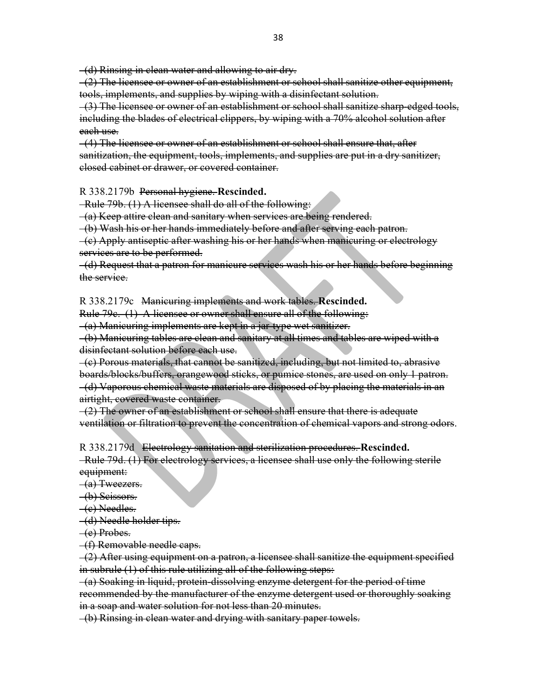(d) Rinsing in clean water and allowing to air dry.

 (2) The licensee or owner of an establishment or school shall sanitize other equipment, tools, implements, and supplies by wiping with a disinfectant solution.

 (3) The licensee or owner of an establishment or school shall sanitize sharp-edged tools, including the blades of electrical clippers, by wiping with a 70% alcohol solution after each use.

 (4) The licensee or owner of an establishment or school shall ensure that, after sanitization, the equipment, tools, implements, and supplies are put in a dry sanitizer, closed cabinet or drawer, or covered container.

R 338.2179b Personal hygiene. **Rescinded.**

Rule 79b. (1) A licensee shall do all of the following:

(a) Keep attire clean and sanitary when services are being rendered.

(b) Wash his or her hands immediately before and after serving each patron.

 (c) Apply antiseptic after washing his or her hands when manicuring or electrology services are to be performed.

 (d) Request that a patron for manicure services wash his or her hands before beginning the service.

R 338.2179c Manicuring implements and work tables. **Rescinded.**

Rule 79c. (1) A licensee or owner shall ensure all of the following:

(a) Manicuring implements are kept in a jar-type wet sanitizer.

 (b) Manicuring tables are clean and sanitary at all times and tables are wiped with a disinfectant solution before each use.

 (c) Porous materials, that cannot be sanitized, including, but not limited to, abrasive boards/blocks/buffers, orangewood sticks, or pumice stones, are used on only 1 patron. (d) Vaporous chemical waste materials are disposed of by placing the materials in an airtight, covered waste container.

 $-(2)$  The owner of an establishment or school shall ensure that there is adequate ventilation or filtration to prevent the concentration of chemical vapors and strong odors.

R 338.2179d Electrology sanitation and sterilization procedures. **Rescinded.**

 Rule 79d. (1) For electrology services, a licensee shall use only the following sterile equipment:

(a) Tweezers.

(b) Scissors.

(c) Needles.

(d) Needle holder tips.

(e) Probes.

(f) Removable needle caps.

 (2) After using equipment on a patron, a licensee shall sanitize the equipment specified in subrule (1) of this rule utilizing all of the following steps:

 (a) Soaking in liquid, protein-dissolving enzyme detergent for the period of time recommended by the manufacturer of the enzyme detergent used or thoroughly soaking in a soap and water solution for not less than 20 minutes.

(b) Rinsing in clean water and drying with sanitary paper towels.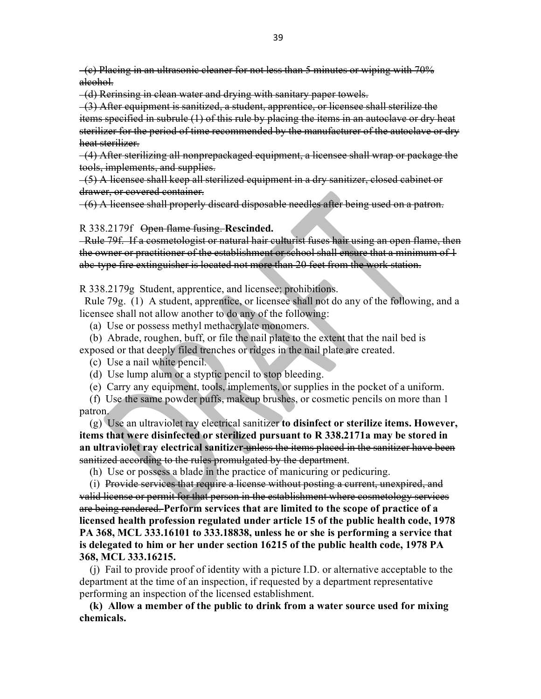(c) Placing in an ultrasonic cleaner for not less than 5 minutes or wiping with 70% alcohol.

(d) Rerinsing in clean water and drying with sanitary paper towels.

 (3) After equipment is sanitized, a student, apprentice, or licensee shall sterilize the items specified in subrule (1) of this rule by placing the items in an autoclave or dry heat sterilizer for the period of time recommended by the manufacturer of the autoclave or dry heat sterilizer.

 (4) After sterilizing all nonprepackaged equipment, a licensee shall wrap or package the tools, implements, and supplies.

 (5) A licensee shall keep all sterilized equipment in a dry sanitizer, closed cabinet or drawer, or covered container.

(6) A licensee shall properly discard disposable needles after being used on a patron.

R 338.2179f Open flame fusing. **Rescinded.**

 Rule 79f. If a cosmetologist or natural hair culturist fuses hair using an open flame, then the owner or practitioner of the establishment or school shall ensure that a minimum of 1 abc-type fire extinguisher is located not more than 20 feet from the work station.

R 338.2179g Student, apprentice, and licensee; prohibitions.

 Rule 79g. (1) A student, apprentice, or licensee shall not do any of the following, and a licensee shall not allow another to do any of the following:

(a) Use or possess methyl methacrylate monomers.

 (b) Abrade, roughen, buff, or file the nail plate to the extent that the nail bed is exposed or that deeply filed trenches or ridges in the nail plate are created.

(c) Use a nail white pencil.

(d) Use lump alum or a styptic pencil to stop bleeding.

(e) Carry any equipment, tools, implements, or supplies in the pocket of a uniform.

 (f) Use the same powder puffs, makeup brushes, or cosmetic pencils on more than 1 patron.

 (g) Use an ultraviolet ray electrical sanitizer **to disinfect or sterilize items. However, items that were disinfected or sterilized pursuant to R 338.2171a may be stored in an ultraviolet ray electrical sanitizer** unless the items placed in the sanitizer have been sanitized according to the rules promulgated by the department.

(h) Use or possess a blade in the practice of manicuring or pedicuring.

 (i) Provide services that require a license without posting a current, unexpired, and valid license or permit for that person in the establishment where cosmetology services are being rendered. **Perform services that are limited to the scope of practice of a licensed health profession regulated under article 15 of the public health code, 1978 PA 368, MCL 333.16101 to 333.18838, unless he or she is performing a service that is delegated to him or her under section 16215 of the public health code, 1978 PA 368, MCL 333.16215.**

 (j) Fail to provide proof of identity with a picture I.D. or alternative acceptable to the department at the time of an inspection, if requested by a department representative performing an inspection of the licensed establishment.

 **(k) Allow a member of the public to drink from a water source used for mixing chemicals.**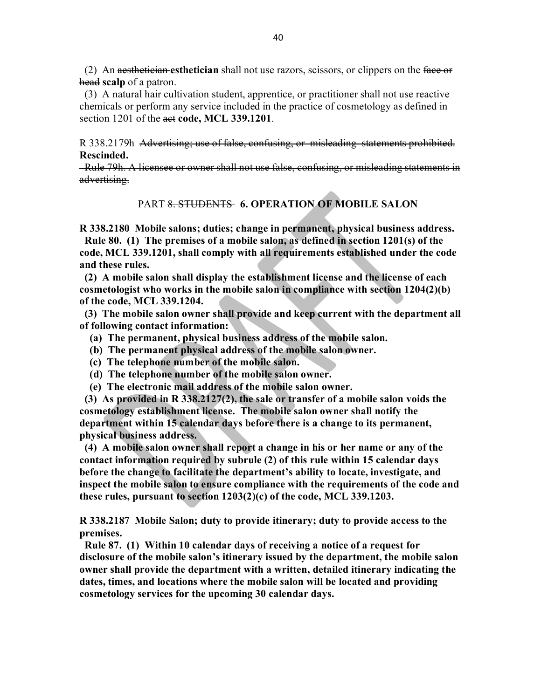(2) An aesthetician **esthetician** shall not use razors, scissors, or clippers on the face or head **scalp** of a patron.

 (3) A natural hair cultivation student, apprentice, or practitioner shall not use reactive chemicals or perform any service included in the practice of cosmetology as defined in section 1201 of the act **code, MCL 339.1201**.

R 338.2179h Advertising; use of false, confusing, or misleading statements prohibited. **Rescinded.**

 Rule 79h. A licensee or owner shall not use false, confusing, or misleading statements in advertising.

#### PART 8. STUDENTS **6. OPERATION OF MOBILE SALON**

**R 338.2180 Mobile salons; duties; change in permanent, physical business address.**

 **Rule 80. (1) The premises of a mobile salon, as defined in section 1201(s) of the code, MCL 339.1201, shall comply with all requirements established under the code and these rules.**

 **(2) A mobile salon shall display the establishment license and the license of each cosmetologist who works in the mobile salon in compliance with section 1204(2)(b) of the code, MCL 339.1204.** 

 **(3) The mobile salon owner shall provide and keep current with the department all of following contact information:**

- **(a) The permanent, physical business address of the mobile salon.**
- **(b) The permanent physical address of the mobile salon owner.**
- **(c) The telephone number of the mobile salon.**
- **(d) The telephone number of the mobile salon owner.**
- **(e) The electronic mail address of the mobile salon owner.**

 **(3) As provided in R 338.2127(2), the sale or transfer of a mobile salon voids the cosmetology establishment license. The mobile salon owner shall notify the department within 15 calendar days before there is a change to its permanent, physical business address.** 

 **(4) A mobile salon owner shall report a change in his or her name or any of the contact information required by subrule (2) of this rule within 15 calendar days before the change to facilitate the department's ability to locate, investigate, and inspect the mobile salon to ensure compliance with the requirements of the code and these rules, pursuant to section 1203(2)(c) of the code, MCL 339.1203.** 

**R 338.2187 Mobile Salon; duty to provide itinerary; duty to provide access to the premises.**

 **Rule 87. (1) Within 10 calendar days of receiving a notice of a request for disclosure of the mobile salon's itinerary issued by the department, the mobile salon owner shall provide the department with a written, detailed itinerary indicating the dates, times, and locations where the mobile salon will be located and providing cosmetology services for the upcoming 30 calendar days.**